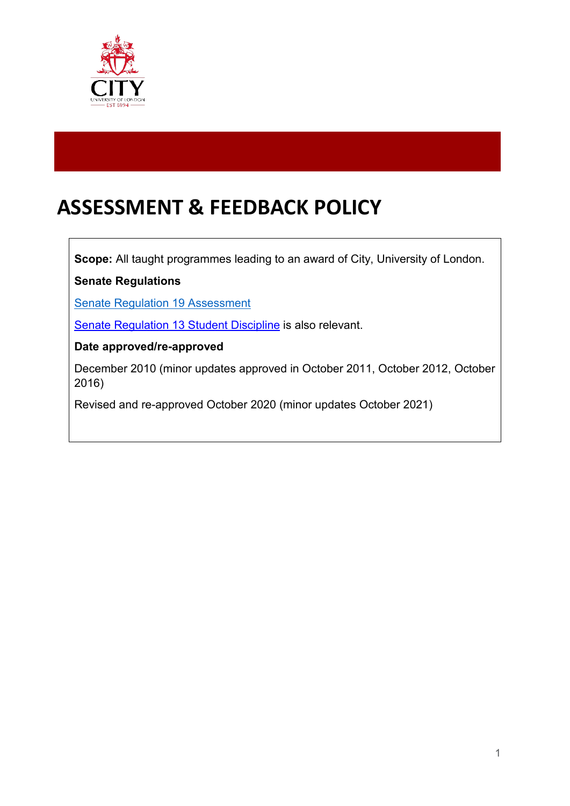

# **ASSESSMENT & FEEDBACK POLICY**

**Scope:** All taught programmes leading to an award of City, University of London.

**Senate Regulations**

[Senate Regulation 19 Assessment](https://www.city.ac.uk/__data/assets/pdf_file/0007/453652/s19.pdf) 

[Senate Regulation 13 Student Discipline](https://www.city.ac.uk/__data/assets/pdf_file/0004/566662/Senate_Regulation_13_Student_Discipline_Senate_20201007.pdf) is also relevant.

#### **Date approved/re-approved**

December 2010 (minor updates approved in October 2011, October 2012, October 2016)

Revised and re-approved October 2020 (minor updates October 2021)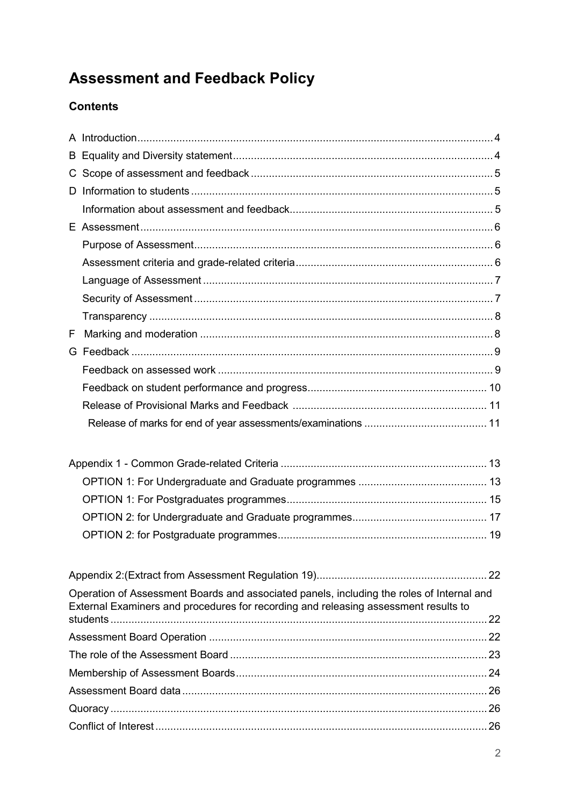# **Assessment and Feedback Policy**

## **Contents**

| F |                                                                                                                                                                                  |  |
|---|----------------------------------------------------------------------------------------------------------------------------------------------------------------------------------|--|
|   |                                                                                                                                                                                  |  |
|   |                                                                                                                                                                                  |  |
|   |                                                                                                                                                                                  |  |
|   |                                                                                                                                                                                  |  |
|   |                                                                                                                                                                                  |  |
|   |                                                                                                                                                                                  |  |
|   |                                                                                                                                                                                  |  |
|   |                                                                                                                                                                                  |  |
|   |                                                                                                                                                                                  |  |
|   |                                                                                                                                                                                  |  |
|   |                                                                                                                                                                                  |  |
|   |                                                                                                                                                                                  |  |
|   |                                                                                                                                                                                  |  |
|   | Operation of Assessment Boards and associated panels, including the roles of Internal and<br>External Examiners and procedures for recording and releasing assessment results to |  |
|   |                                                                                                                                                                                  |  |
|   |                                                                                                                                                                                  |  |
|   |                                                                                                                                                                                  |  |
|   |                                                                                                                                                                                  |  |
|   |                                                                                                                                                                                  |  |
|   |                                                                                                                                                                                  |  |
|   |                                                                                                                                                                                  |  |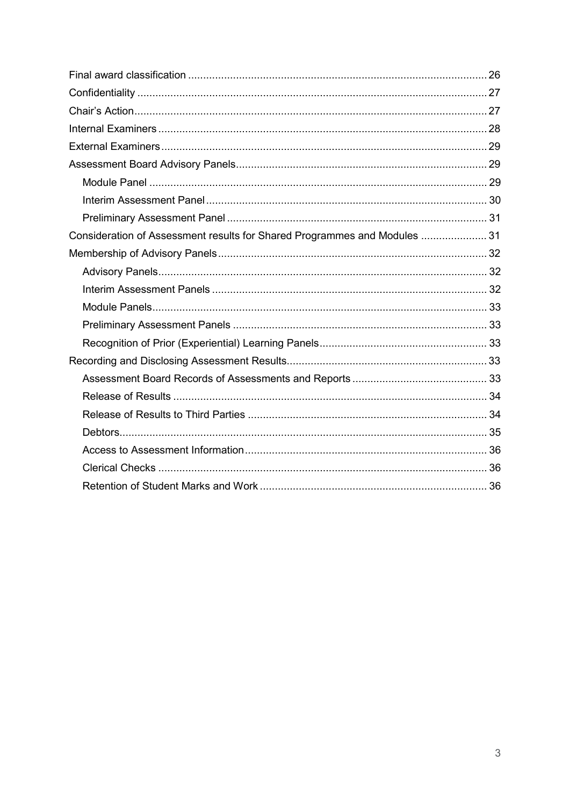| Consideration of Assessment results for Shared Programmes and Modules  31 |  |
|---------------------------------------------------------------------------|--|
|                                                                           |  |
|                                                                           |  |
|                                                                           |  |
|                                                                           |  |
|                                                                           |  |
|                                                                           |  |
|                                                                           |  |
|                                                                           |  |
|                                                                           |  |
|                                                                           |  |
|                                                                           |  |
|                                                                           |  |
|                                                                           |  |
|                                                                           |  |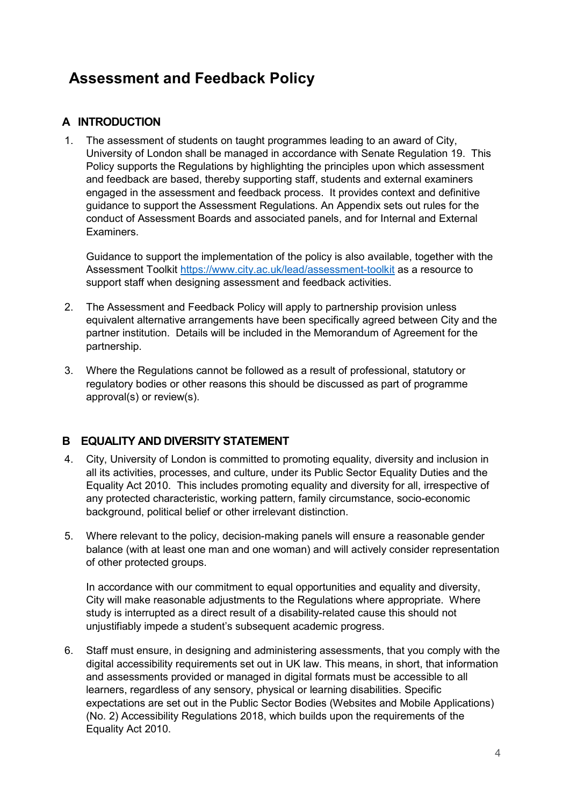## **Assessment and Feedback Policy**

## <span id="page-3-0"></span>**A INTRODUCTION**

1. The assessment of students on taught programmes leading to an award of City, University of London shall be managed in accordance with Senate Regulation 19. This Policy supports the Regulations by highlighting the principles upon which assessment and feedback are based, thereby supporting staff, students and external examiners engaged in the assessment and feedback process. It provides context and definitive guidance to support the Assessment Regulations. An Appendix sets out rules for the conduct of Assessment Boards and associated panels, and for Internal and External **Examiners** 

Guidance to support the implementation of the policy is also available, together with the Assessment Toolkit<https://www.city.ac.uk/lead/assessment-toolkit> as a resource to support staff when designing assessment and feedback activities.

- 2. The Assessment and Feedback Policy will apply to partnership provision unless equivalent alternative arrangements have been specifically agreed between City and the partner institution. Details will be included in the Memorandum of Agreement for the partnership.
- 3. Where the Regulations cannot be followed as a result of professional, statutory or regulatory bodies or other reasons this should be discussed as part of programme approval(s) or review(s).

## <span id="page-3-1"></span>**B EQUALITY AND DIVERSITY STATEMENT**

- 4. City, University of London is committed to promoting equality, diversity and inclusion in all its activities, processes, and culture, under its Public Sector Equality Duties and the Equality Act 2010. This includes promoting equality and diversity for all, irrespective of any protected characteristic, working pattern, family circumstance, socio-economic background, political belief or other irrelevant distinction.
- 5. Where relevant to the policy, decision-making panels will ensure a reasonable gender balance (with at least one man and one woman) and will actively consider representation of other protected groups.

In accordance with our commitment to equal opportunities and equality and diversity, City will make reasonable adjustments to the Regulations where appropriate. Where study is interrupted as a direct result of a disability-related cause this should not unjustifiably impede a student's subsequent academic progress.

6. Staff must ensure, in designing and administering assessments, that you comply with the digital accessibility requirements set out in UK law. This means, in short, that information and assessments provided or managed in digital formats must be accessible to all learners, regardless of any sensory, physical or learning disabilities. Specific expectations are set out in the Public Sector Bodies (Websites and Mobile Applications) (No. 2) Accessibility Regulations 2018, which builds upon the requirements of the Equality Act 2010.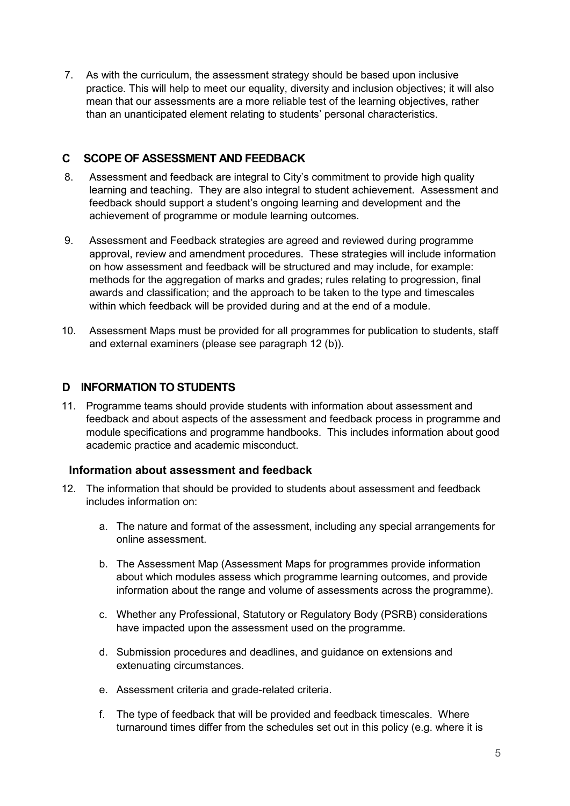7. As with the curriculum, the assessment strategy should be based upon inclusive practice. This will help to meet our equality, diversity and inclusion objectives; it will also mean that our assessments are a more reliable test of the learning objectives, rather than an unanticipated element relating to students' personal characteristics.

## <span id="page-4-0"></span>**C SCOPE OF ASSESSMENT AND FEEDBACK**

- 8. Assessment and feedback are integral to City's commitment to provide high quality learning and teaching. They are also integral to student achievement. Assessment and feedback should support a student's ongoing learning and development and the achievement of programme or module learning outcomes.
- 9. Assessment and Feedback strategies are agreed and reviewed during programme approval, review and amendment procedures. These strategies will include information on how assessment and feedback will be structured and may include, for example: methods for the aggregation of marks and grades; rules relating to progression, final awards and classification; and the approach to be taken to the type and timescales within which feedback will be provided during and at the end of a module.
- 10. Assessment Maps must be provided for all programmes for publication to students, staff and external examiners (please see paragraph 12 (b)).

## <span id="page-4-1"></span>**D INFORMATION TO STUDENTS**

11. Programme teams should provide students with information about assessment and feedback and about aspects of the assessment and feedback process in programme and module specifications and programme handbooks. This includes information about good academic practice and academic misconduct.

## <span id="page-4-2"></span>**Information about assessment and feedback**

- 12. The information that should be provided to students about assessment and feedback includes information on:
	- a. The nature and format of the assessment, including any special arrangements for online assessment.
	- b. The Assessment Map (Assessment Maps for programmes provide information about which modules assess which programme learning outcomes, and provide information about the range and volume of assessments across the programme).
	- c. Whether any Professional, Statutory or Regulatory Body (PSRB) considerations have impacted upon the assessment used on the programme.
	- d. Submission procedures and deadlines, and guidance on extensions and extenuating circumstances.
	- e. Assessment criteria and grade-related criteria.
	- f. The type of feedback that will be provided and feedback timescales. Where turnaround times differ from the schedules set out in this policy (e.g. where it is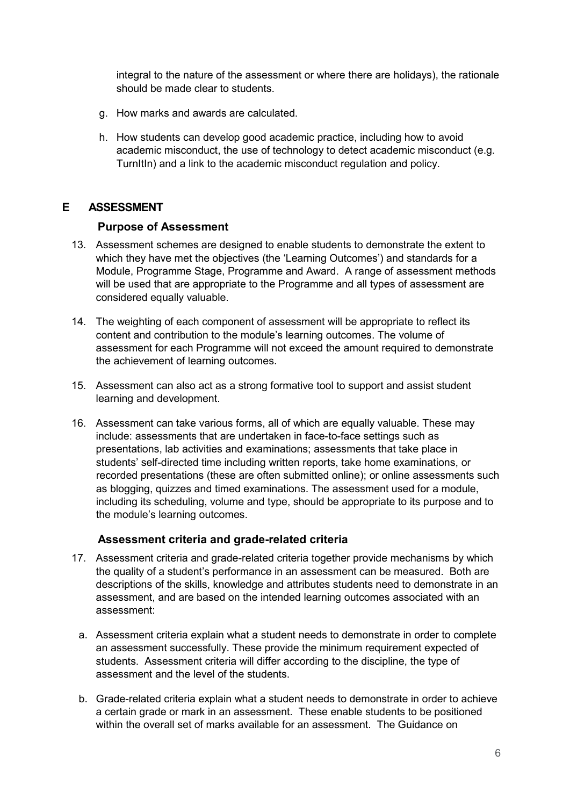integral to the nature of the assessment or where there are holidays), the rationale should be made clear to students.

- g. How marks and awards are calculated.
- h. How students can develop good academic practice, including how to avoid academic misconduct, the use of technology to detect academic misconduct (e.g. TurnItIn) and a link to the academic misconduct regulation and policy.

#### <span id="page-5-0"></span>**E ASSESSMENT**

#### <span id="page-5-1"></span> **Purpose of Assessment**

- 13. Assessment schemes are designed to enable students to demonstrate the extent to which they have met the objectives (the 'Learning Outcomes') and standards for a Module, Programme Stage, Programme and Award. A range of assessment methods will be used that are appropriate to the Programme and all types of assessment are considered equally valuable.
- 14. The weighting of each component of assessment will be appropriate to reflect its content and contribution to the module's learning outcomes. The volume of assessment for each Programme will not exceed the amount required to demonstrate the achievement of learning outcomes.
- 15. Assessment can also act as a strong formative tool to support and assist student learning and development.
- 16. Assessment can take various forms, all of which are equally valuable. These may include: assessments that are undertaken in face-to-face settings such as presentations, lab activities and examinations; assessments that take place in students' self-directed time including written reports, take home examinations, or recorded presentations (these are often submitted online); or online assessments such as blogging, quizzes and timed examinations. The assessment used for a module, including its scheduling, volume and type, should be appropriate to its purpose and to the module's learning outcomes.

#### <span id="page-5-2"></span> **Assessment criteria and grade-related criteria**

- 17. Assessment criteria and grade-related criteria together provide mechanisms by which the quality of a student's performance in an assessment can be measured. Both are descriptions of the skills, knowledge and attributes students need to demonstrate in an assessment, and are based on the intended learning outcomes associated with an assessment:
	- a. Assessment criteria explain what a student needs to demonstrate in order to complete an assessment successfully. These provide the minimum requirement expected of students. Assessment criteria will differ according to the discipline, the type of assessment and the level of the students.
	- b. Grade-related criteria explain what a student needs to demonstrate in order to achieve a certain grade or mark in an assessment. These enable students to be positioned within the overall set of marks available for an assessment. The Guidance on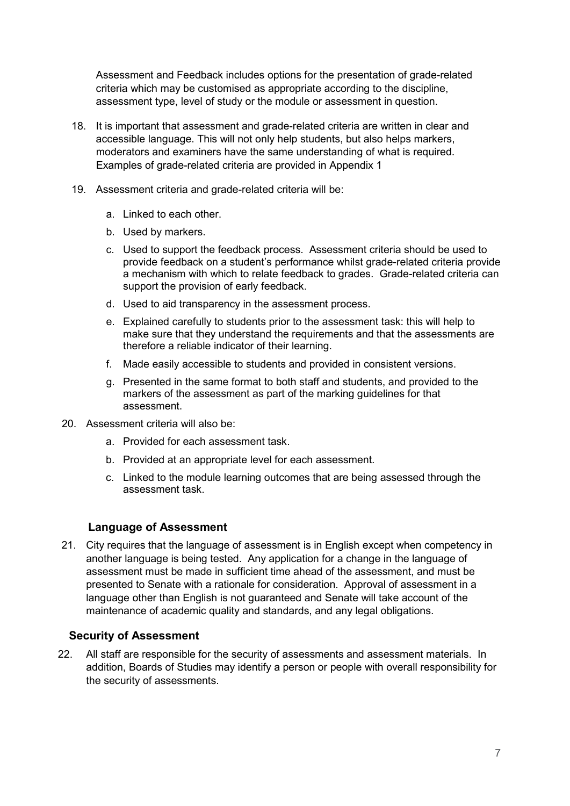Assessment and Feedback includes options for the presentation of grade-related criteria which may be customised as appropriate according to the discipline, assessment type, level of study or the module or assessment in question.

- 18. It is important that assessment and grade-related criteria are written in clear and accessible language. This will not only help students, but also helps markers, moderators and examiners have the same understanding of what is required. Examples of grade-related criteria are provided in Appendix 1
- 19. Assessment criteria and grade-related criteria will be:
	- a. Linked to each other.
	- b. Used by markers.
	- c. Used to support the feedback process. Assessment criteria should be used to provide feedback on a student's performance whilst grade-related criteria provide a mechanism with which to relate feedback to grades. Grade-related criteria can support the provision of early feedback.
	- d. Used to aid transparency in the assessment process.
	- e. Explained carefully to students prior to the assessment task: this will help to make sure that they understand the requirements and that the assessments are therefore a reliable indicator of their learning.
	- f. Made easily accessible to students and provided in consistent versions.
	- g. Presented in the same format to both staff and students, and provided to the markers of the assessment as part of the marking guidelines for that assessment.
- 20. Assessment criteria will also be:
	- a. Provided for each assessment task.
	- b. Provided at an appropriate level for each assessment.
	- c. Linked to the module learning outcomes that are being assessed through the assessment task.

#### <span id="page-6-0"></span> **Language of Assessment**

21. City requires that the language of assessment is in English except when competency in another language is being tested. Any application for a change in the language of assessment must be made in sufficient time ahead of the assessment, and must be presented to Senate with a rationale for consideration. Approval of assessment in a language other than English is not guaranteed and Senate will take account of the maintenance of academic quality and standards, and any legal obligations.

#### <span id="page-6-1"></span>**Security of Assessment**

22. All staff are responsible for the security of assessments and assessment materials. In addition, Boards of Studies may identify a person or people with overall responsibility for the security of assessments.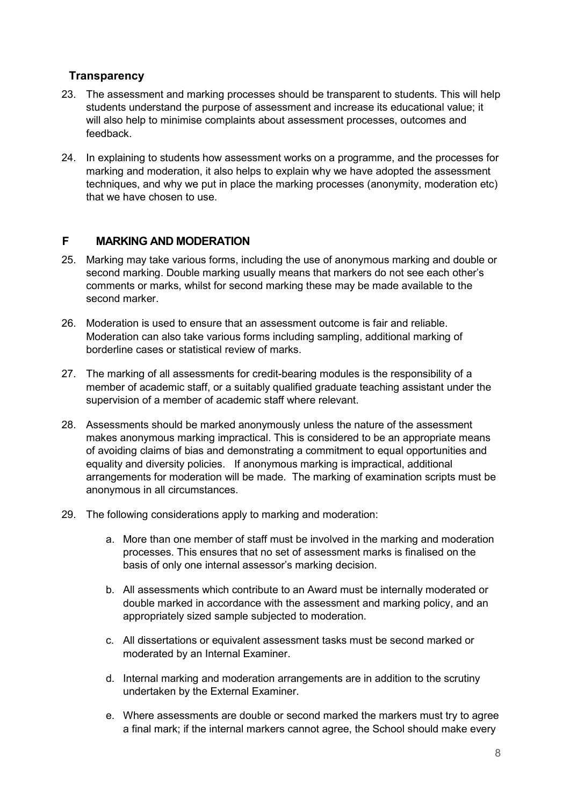## <span id="page-7-0"></span>**Transparency**

- 23. The assessment and marking processes should be transparent to students. This will help students understand the purpose of assessment and increase its educational value; it will also help to minimise complaints about assessment processes, outcomes and feedback.
- 24. In explaining to students how assessment works on a programme, and the processes for marking and moderation, it also helps to explain why we have adopted the assessment techniques, and why we put in place the marking processes (anonymity, moderation etc) that we have chosen to use.

#### <span id="page-7-1"></span>**F MARKING AND MODERATION**

- 25. Marking may take various forms, including the use of anonymous marking and double or second marking. Double marking usually means that markers do not see each other's comments or marks, whilst for second marking these may be made available to the second marker.
- 26. Moderation is used to ensure that an assessment outcome is fair and reliable. Moderation can also take various forms including sampling, additional marking of borderline cases or statistical review of marks.
- 27. The marking of all assessments for credit-bearing modules is the responsibility of a member of academic staff, or a suitably qualified graduate teaching assistant under the supervision of a member of academic staff where relevant.
- 28. Assessments should be marked anonymously unless the nature of the assessment makes anonymous marking impractical. This is considered to be an appropriate means of avoiding claims of bias and demonstrating a commitment to equal opportunities and equality and diversity policies. If anonymous marking is impractical, additional arrangements for moderation will be made. The marking of examination scripts must be anonymous in all circumstances.
- 29. The following considerations apply to marking and moderation:
	- a. More than one member of staff must be involved in the marking and moderation processes. This ensures that no set of assessment marks is finalised on the basis of only one internal assessor's marking decision.
	- b. All assessments which contribute to an Award must be internally moderated or double marked in accordance with the assessment and marking policy, and an appropriately sized sample subjected to moderation.
	- c. All dissertations or equivalent assessment tasks must be second marked or moderated by an Internal Examiner.
	- d. Internal marking and moderation arrangements are in addition to the scrutiny undertaken by the External Examiner.
	- e. Where assessments are double or second marked the markers must try to agree a final mark; if the internal markers cannot agree, the School should make every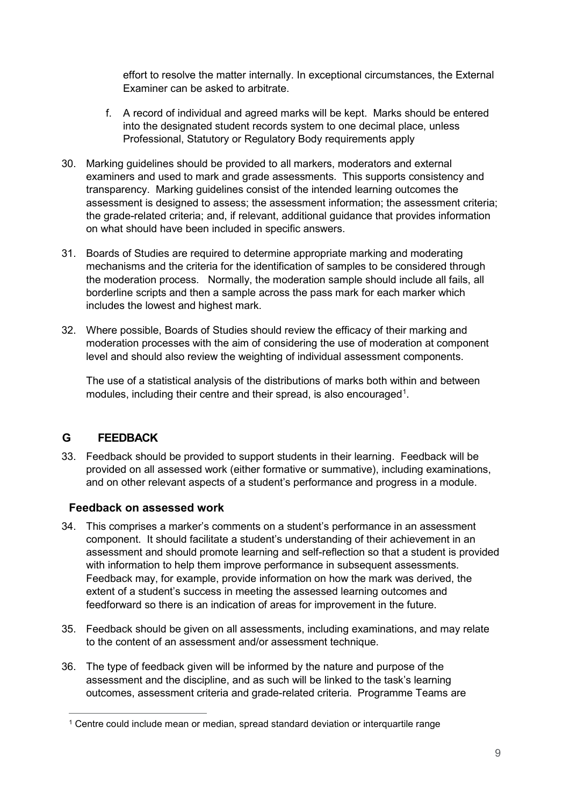effort to resolve the matter internally. In exceptional circumstances, the External Examiner can be asked to arbitrate.

- f. A record of individual and agreed marks will be kept. Marks should be entered into the designated student records system to one decimal place, unless Professional, Statutory or Regulatory Body requirements apply
- 30. Marking guidelines should be provided to all markers, moderators and external examiners and used to mark and grade assessments. This supports consistency and transparency. Marking guidelines consist of the intended learning outcomes the assessment is designed to assess; the assessment information; the assessment criteria; the grade-related criteria; and, if relevant, additional guidance that provides information on what should have been included in specific answers.
- 31. Boards of Studies are required to determine appropriate marking and moderating mechanisms and the criteria for the identification of samples to be considered through the moderation process. Normally, the moderation sample should include all fails, all borderline scripts and then a sample across the pass mark for each marker which includes the lowest and highest mark.
- 32. Where possible, Boards of Studies should review the efficacy of their marking and moderation processes with the aim of considering the use of moderation at component level and should also review the weighting of individual assessment components.

The use of a statistical analysis of the distributions of marks both within and between modules, including their centre and their spread, is also encouraged<sup>[1](#page-8-2)</sup>.

## <span id="page-8-0"></span>**G FEEDBACK**

33. Feedback should be provided to support students in their learning. Feedback will be provided on all assessed work (either formative or summative), including examinations, and on other relevant aspects of a student's performance and progress in a module.

#### <span id="page-8-1"></span>**Feedback on assessed work**

- 34. This comprises a marker's comments on a student's performance in an assessment component. It should facilitate a student's understanding of their achievement in an assessment and should promote learning and self-reflection so that a student is provided with information to help them improve performance in subsequent assessments. Feedback may, for example, provide information on how the mark was derived, the extent of a student's success in meeting the assessed learning outcomes and feedforward so there is an indication of areas for improvement in the future.
- 35. Feedback should be given on all assessments, including examinations, and may relate to the content of an assessment and/or assessment technique.
- 36. The type of feedback given will be informed by the nature and purpose of the assessment and the discipline, and as such will be linked to the task's learning outcomes, assessment criteria and grade-related criteria. Programme Teams are

<span id="page-8-2"></span><sup>1</sup> <sup>1</sup> Centre could include mean or median, spread standard deviation or interquartile range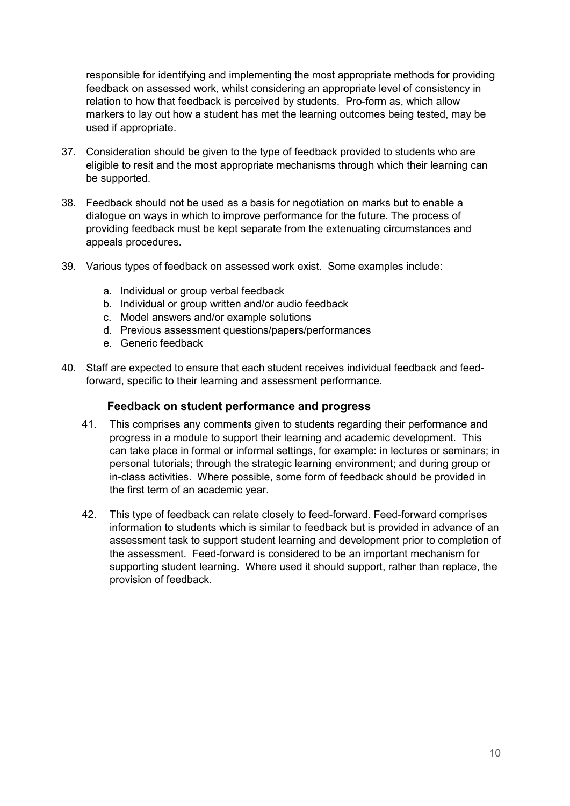responsible for identifying and implementing the most appropriate methods for providing feedback on assessed work, whilst considering an appropriate level of consistency in relation to how that feedback is perceived by students. Pro-form as, which allow markers to lay out how a student has met the learning outcomes being tested, may be used if appropriate.

- 37. Consideration should be given to the type of feedback provided to students who are eligible to resit and the most appropriate mechanisms through which their learning can be supported.
- 38. Feedback should not be used as a basis for negotiation on marks but to enable a dialogue on ways in which to improve performance for the future. The process of providing feedback must be kept separate from the extenuating circumstances and appeals procedures.
- 39. Various types of feedback on assessed work exist. Some examples include:
	- a. Individual or group verbal feedback
	- b. Individual or group written and/or audio feedback
	- c. Model answers and/or example solutions
	- d. Previous assessment questions/papers/performances
	- e. Generic feedback
- 40. Staff are expected to ensure that each student receives individual feedback and feedforward, specific to their learning and assessment performance.

#### <span id="page-9-0"></span> **Feedback on student performance and progress**

- 41. This comprises any comments given to students regarding their performance and progress in a module to support their learning and academic development. This can take place in formal or informal settings, for example: in lectures or seminars; in personal tutorials; through the strategic learning environment; and during group or in-class activities. Where possible, some form of feedback should be provided in the first term of an academic year.
- 42. This type of feedback can relate closely to feed-forward. Feed-forward comprises information to students which is similar to feedback but is provided in advance of an assessment task to support student learning and development prior to completion of the assessment. Feed-forward is considered to be an important mechanism for supporting student learning. Where used it should support, rather than replace, the provision of feedback.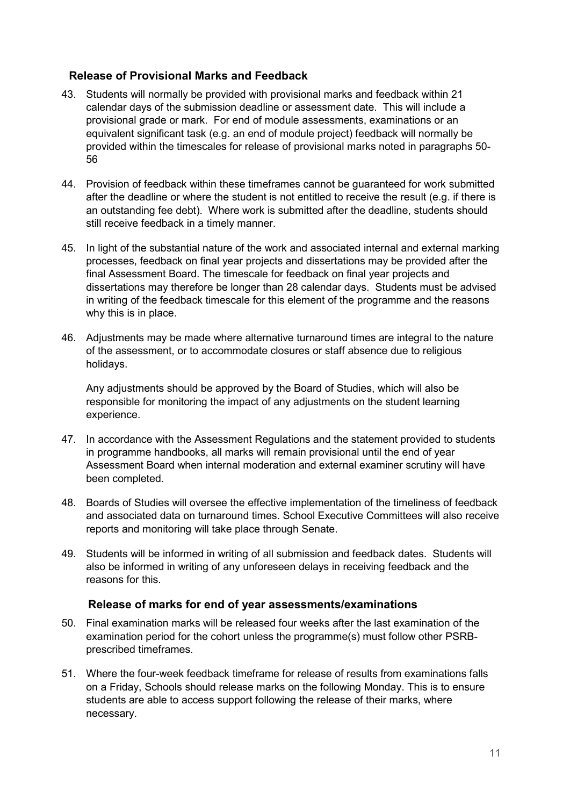#### <span id="page-10-0"></span>**Release of Provisional Marks and Feedback**

- 43. Students will normally be provided with provisional marks and feedback within 21 calendar days of the submission deadline or assessment date. This will include a provisional grade or mark. For end of module assessments, examinations or an equivalent significant task (e.g. an end of module project) feedback will normally be provided within the timescales for release of provisional marks noted in paragraphs 50- 56
- 44. Provision of feedback within these timeframes cannot be guaranteed for work submitted after the deadline or where the student is not entitled to receive the result (e.g. if there is an outstanding fee debt). Where work is submitted after the deadline, students should still receive feedback in a timely manner.
- 45. In light of the substantial nature of the work and associated internal and external marking processes, feedback on final year projects and dissertations may be provided after the final Assessment Board. The timescale for feedback on final year projects and dissertations may therefore be longer than 28 calendar days. Students must be advised in writing of the feedback timescale for this element of the programme and the reasons why this is in place.
- 46. Adjustments may be made where alternative turnaround times are integral to the nature of the assessment, or to accommodate closures or staff absence due to religious holidays.

Any adjustments should be approved by the Board of Studies, which will also be responsible for monitoring the impact of any adjustments on the student learning experience.

- 47. In accordance with the Assessment Regulations and the statement provided to students in programme handbooks, all marks will remain provisional until the end of year Assessment Board when internal moderation and external examiner scrutiny will have been completed.
- 48. Boards of Studies will oversee the effective implementation of the timeliness of feedback and associated data on turnaround times. School Executive Committees will also receive reports and monitoring will take place through Senate.
- 49. Students will be informed in writing of all submission and feedback dates. Students will also be informed in writing of any unforeseen delays in receiving feedback and the reasons for this.

#### **Release of marks for end of year assessments/examinations**

- <span id="page-10-1"></span>50. Final examination marks will be released four weeks after the last examination of the examination period for the cohort unless the programme(s) must follow other PSRBprescribed timeframes.
- 51. Where the four-week feedback timeframe for release of results from examinations falls on a Friday, Schools should release marks on the following Monday. This is to ensure students are able to access support following the release of their marks, where necessary.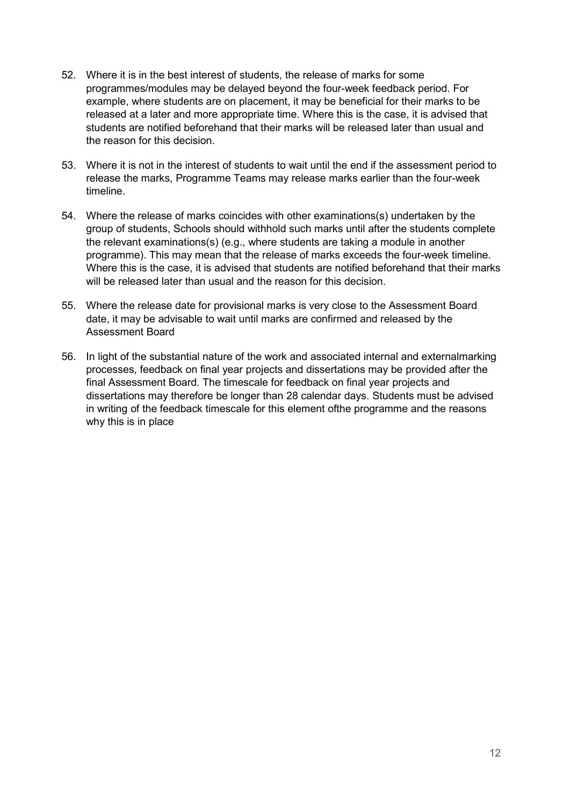- 52. Where it is in the best interest of students, the release of marks for some programmes/modules may be delayed beyond the four-week feedback period. For example, where students are on placement, it may be beneficial for their marks to be released at a later and more appropriate time. Where this is the case, it is advised that students are notified beforehand that their marks will be released later than usual and the reason for this decision.
- 53. Where it is not in the interest of students to wait until the end if the assessment period to release the marks, Programme Teams may release marks earlier than the four-week timeline.
- 54. Where the release of marks coincides with other examinations(s) undertaken by the group of students, Schools should withhold such marks until after the students complete the relevant examinations(s) (e.g., where students are taking a module in another programme). This may mean that the release of marks exceeds the four-week timeline. Where this is the case, it is advised that students are notified beforehand that their marks will be released later than usual and the reason for this decision
- 55. Where the release date for provisional marks is very close to the Assessment Board date, it may be advisable to wait until marks are confirmed and released by the Assessment Board
- 56. In light of the substantial nature of the work and associated internal and externalmarking processes, feedback on final year projects and dissertations may be provided after the final Assessment Board. The timescale for feedback on final year projects and dissertations may therefore be longer than 28 calendar days. Students must be advised in writing of the feedback timescale for this element ofthe programme and the reasons why this is in place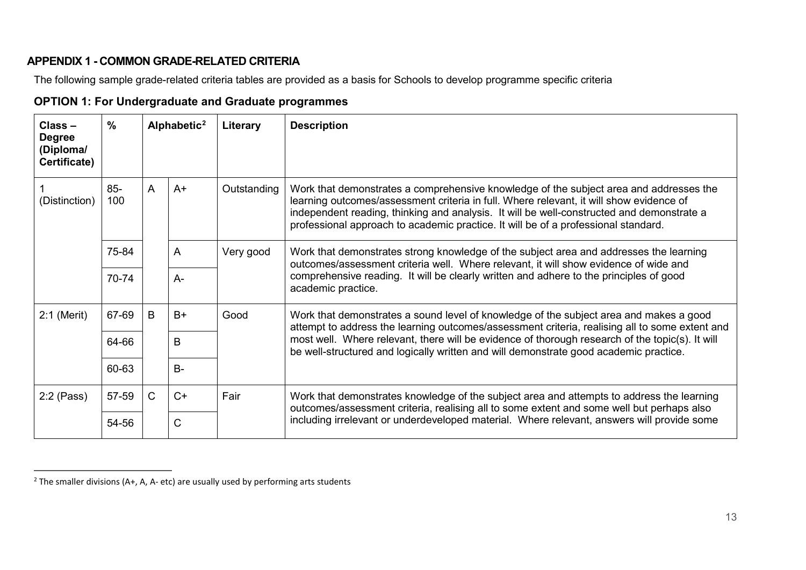## <span id="page-12-2"></span>**APPENDIX 1 - COMMON GRADE-RELATED CRITERIA**

The following sample grade-related criteria tables are provided as a basis for Schools to develop programme specific criteria

<span id="page-12-0"></span>

| $Class -$<br><b>Degree</b><br>(Diploma/<br>Certificate) | $\frac{0}{0}$ |              | Alphabetic <sup>2</sup> | Literary    | <b>Description</b>                                                                                                                                                                                                                                                                                                                                                   |
|---------------------------------------------------------|---------------|--------------|-------------------------|-------------|----------------------------------------------------------------------------------------------------------------------------------------------------------------------------------------------------------------------------------------------------------------------------------------------------------------------------------------------------------------------|
| (Distinction)                                           | $85 -$<br>100 | A            | $A+$                    | Outstanding | Work that demonstrates a comprehensive knowledge of the subject area and addresses the<br>learning outcomes/assessment criteria in full. Where relevant, it will show evidence of<br>independent reading, thinking and analysis. It will be well-constructed and demonstrate a<br>professional approach to academic practice. It will be of a professional standard. |
|                                                         | 75-84         |              | A                       | Very good   | Work that demonstrates strong knowledge of the subject area and addresses the learning<br>outcomes/assessment criteria well. Where relevant, it will show evidence of wide and<br>comprehensive reading. It will be clearly written and adhere to the principles of good<br>academic practice.                                                                       |
|                                                         | 70-74         |              | $A -$                   |             |                                                                                                                                                                                                                                                                                                                                                                      |
| $2:1$ (Merit)                                           | 67-69         | B<br>$B+$    |                         | Good        | Work that demonstrates a sound level of knowledge of the subject area and makes a good<br>attempt to address the learning outcomes/assessment criteria, realising all to some extent and                                                                                                                                                                             |
|                                                         | 64-66         |              | B                       |             | most well. Where relevant, there will be evidence of thorough research of the topic(s). It will<br>be well-structured and logically written and will demonstrate good academic practice.                                                                                                                                                                             |
|                                                         | 60-63         | $B -$        |                         |             |                                                                                                                                                                                                                                                                                                                                                                      |
| $2:2$ (Pass)                                            | 57-59         | $\mathsf{C}$ | $C+$                    | Fair        | Work that demonstrates knowledge of the subject area and attempts to address the learning<br>outcomes/assessment criteria, realising all to some extent and some well but perhaps also                                                                                                                                                                               |
|                                                         | 54-56         |              | C                       |             | including irrelevant or underdeveloped material. Where relevant, answers will provide some                                                                                                                                                                                                                                                                           |

#### **OPTION 1: For Undergraduate and Graduate programmes**

<span id="page-12-1"></span><sup>&</sup>lt;sup>2</sup> The smaller divisions (A+, A, A- etc) are usually used by performing arts students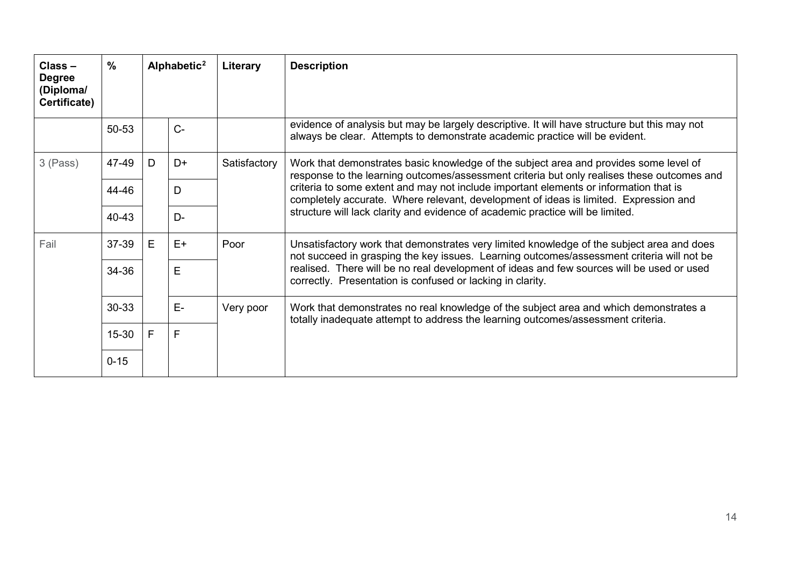| $Class -$<br><b>Degree</b><br>(Diploma/<br>Certificate) | $\frac{0}{0}$ | Alphabetic <sup>2</sup> |       |              |                                                                                                                                                                                                                                                                                                                                                                                                                                                        |  |  |  |  | Literary | <b>Description</b> |
|---------------------------------------------------------|---------------|-------------------------|-------|--------------|--------------------------------------------------------------------------------------------------------------------------------------------------------------------------------------------------------------------------------------------------------------------------------------------------------------------------------------------------------------------------------------------------------------------------------------------------------|--|--|--|--|----------|--------------------|
|                                                         | 50-53         |                         | $C -$ |              | evidence of analysis but may be largely descriptive. It will have structure but this may not<br>always be clear. Attempts to demonstrate academic practice will be evident.                                                                                                                                                                                                                                                                            |  |  |  |  |          |                    |
| 3 (Pass)                                                | 47-49         | D                       | D+    | Satisfactory | Work that demonstrates basic knowledge of the subject area and provides some level of<br>response to the learning outcomes/assessment criteria but only realises these outcomes and<br>criteria to some extent and may not include important elements or information that is<br>completely accurate. Where relevant, development of ideas is limited. Expression and<br>structure will lack clarity and evidence of academic practice will be limited. |  |  |  |  |          |                    |
|                                                         | 44-46         |                         | D     |              |                                                                                                                                                                                                                                                                                                                                                                                                                                                        |  |  |  |  |          |                    |
|                                                         | 40-43         |                         | $D-$  |              |                                                                                                                                                                                                                                                                                                                                                                                                                                                        |  |  |  |  |          |                    |
| Fail                                                    | 37-39         | E                       | $E+$  | Poor         | Unsatisfactory work that demonstrates very limited knowledge of the subject area and does<br>not succeed in grasping the key issues. Learning outcomes/assessment criteria will not be                                                                                                                                                                                                                                                                 |  |  |  |  |          |                    |
|                                                         | 34-36         | E<br>E-                 |       |              | realised. There will be no real development of ideas and few sources will be used or used<br>correctly. Presentation is confused or lacking in clarity.                                                                                                                                                                                                                                                                                                |  |  |  |  |          |                    |
|                                                         | 30-33         |                         |       | Very poor    | Work that demonstrates no real knowledge of the subject area and which demonstrates a<br>totally inadequate attempt to address the learning outcomes/assessment criteria.                                                                                                                                                                                                                                                                              |  |  |  |  |          |                    |
|                                                         | 15-30         | F                       | F     |              |                                                                                                                                                                                                                                                                                                                                                                                                                                                        |  |  |  |  |          |                    |
|                                                         | $0 - 15$      |                         |       |              |                                                                                                                                                                                                                                                                                                                                                                                                                                                        |  |  |  |  |          |                    |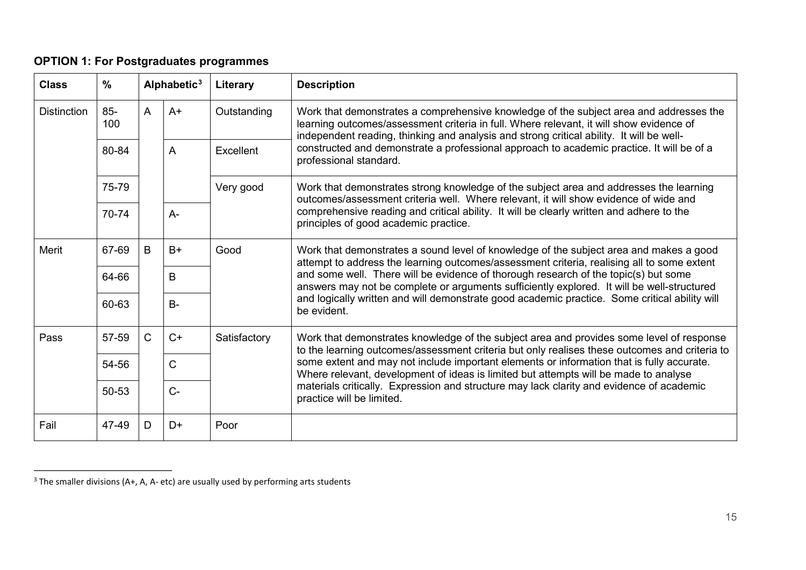## <span id="page-14-1"></span>**OPTION 1: For Postgraduates programmes**

| <b>Class</b>       | %             |                      | Alphabetic <sup>3</sup><br><b>Literary</b>                                                                                                                                        |              | <b>Description</b>                                                                                                                                                                                                                                                                                                  |
|--------------------|---------------|----------------------|-----------------------------------------------------------------------------------------------------------------------------------------------------------------------------------|--------------|---------------------------------------------------------------------------------------------------------------------------------------------------------------------------------------------------------------------------------------------------------------------------------------------------------------------|
| <b>Distinction</b> | $85 -$<br>100 | A                    | $A+$                                                                                                                                                                              | Outstanding  | Work that demonstrates a comprehensive knowledge of the subject area and addresses the<br>learning outcomes/assessment criteria in full. Where relevant, it will show evidence of<br>independent reading, thinking and analysis and strong critical ability. It will be well-                                       |
|                    | 80-84         |                      | A                                                                                                                                                                                 | Excellent    | constructed and demonstrate a professional approach to academic practice. It will be of a<br>professional standard.                                                                                                                                                                                                 |
|                    | 75-79         |                      |                                                                                                                                                                                   | Very good    | Work that demonstrates strong knowledge of the subject area and addresses the learning<br>outcomes/assessment criteria well. Where relevant, it will show evidence of wide and<br>comprehensive reading and critical ability. It will be clearly written and adhere to the<br>principles of good academic practice. |
|                    | 70-74         |                      | $A -$                                                                                                                                                                             |              |                                                                                                                                                                                                                                                                                                                     |
| <b>Merit</b>       | 67-69         | B                    | $B+$                                                                                                                                                                              | Good         | Work that demonstrates a sound level of knowledge of the subject area and makes a good<br>attempt to address the learning outcomes/assessment criteria, realising all to some extent                                                                                                                                |
|                    | 64-66         |                      | B                                                                                                                                                                                 |              | and some well. There will be evidence of thorough research of the topic(s) but some<br>answers may not be complete or arguments sufficiently explored. It will be well-structured<br>and logically written and will demonstrate good academic practice. Some critical ability will<br>be evident.                   |
|                    | 60-63         |                      | $B -$                                                                                                                                                                             |              |                                                                                                                                                                                                                                                                                                                     |
| Pass               | 57-59         | $\mathsf{C}$<br>$C+$ |                                                                                                                                                                                   | Satisfactory | Work that demonstrates knowledge of the subject area and provides some level of response<br>to the learning outcomes/assessment criteria but only realises these outcomes and criteria to                                                                                                                           |
|                    | 54-56         | $\mathsf{C}$         | some extent and may not include important elements or information that is fully accurate.<br>Where relevant, development of ideas is limited but attempts will be made to analyse |              |                                                                                                                                                                                                                                                                                                                     |
|                    | 50-53         |                      | $C-$                                                                                                                                                                              |              | materials critically. Expression and structure may lack clarity and evidence of academic<br>practice will be limited.                                                                                                                                                                                               |
| Fail               | 47-49         | D                    | D+                                                                                                                                                                                | Poor         |                                                                                                                                                                                                                                                                                                                     |

<span id="page-14-0"></span> $3$  The smaller divisions (A+, A, A- etc) are usually used by performing arts students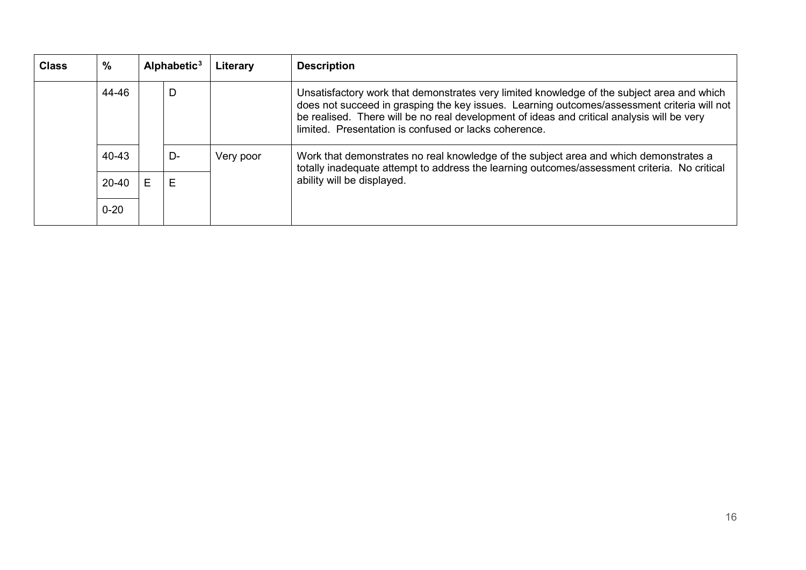| <b>Class</b> | $\frac{0}{0}$ |   | Alphabetic $3$ | Literary  | <b>Description</b>                                                                                                                                                                                                                                                                                                                               |
|--------------|---------------|---|----------------|-----------|--------------------------------------------------------------------------------------------------------------------------------------------------------------------------------------------------------------------------------------------------------------------------------------------------------------------------------------------------|
|              | 44-46         |   | D              |           | Unsatisfactory work that demonstrates very limited knowledge of the subject area and which<br>does not succeed in grasping the key issues. Learning outcomes/assessment criteria will not<br>be realised. There will be no real development of ideas and critical analysis will be very<br>limited. Presentation is confused or lacks coherence. |
|              | 40-43         |   | D-             | Very poor | Work that demonstrates no real knowledge of the subject area and which demonstrates a<br>totally inadequate attempt to address the learning outcomes/assessment criteria. No critical<br>ability will be displayed.                                                                                                                              |
|              | $20 - 40$     | E | E              |           |                                                                                                                                                                                                                                                                                                                                                  |
|              | $0 - 20$      |   |                |           |                                                                                                                                                                                                                                                                                                                                                  |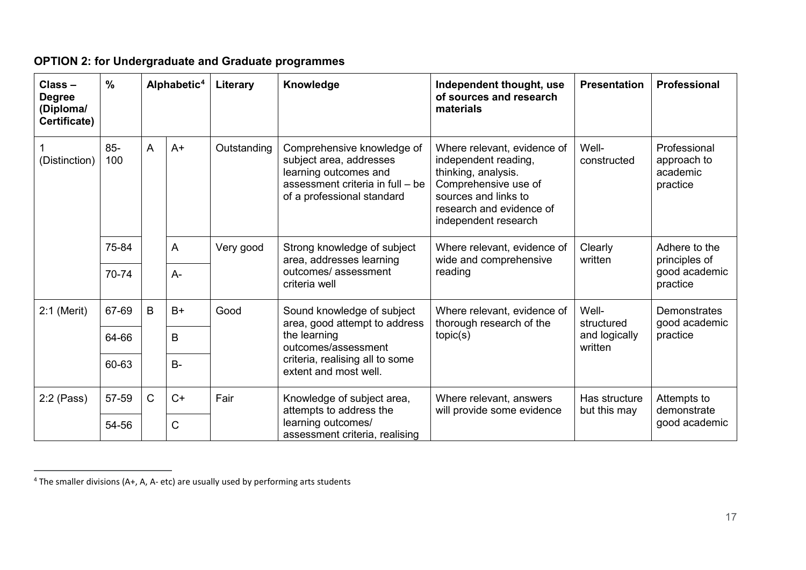| Class-<br><b>Degree</b><br>(Diploma/<br>Certificate) | $\frac{0}{0}$ |                | Alphabetic <sup>4</sup> | Literary                                                    | Knowledge                                                                                                                                        | Independent thought, use<br>of sources and research<br>materials                                                                                                               | <b>Presentation</b>                  | Professional                                        |
|------------------------------------------------------|---------------|----------------|-------------------------|-------------------------------------------------------------|--------------------------------------------------------------------------------------------------------------------------------------------------|--------------------------------------------------------------------------------------------------------------------------------------------------------------------------------|--------------------------------------|-----------------------------------------------------|
| (Distinction)                                        | $85 -$<br>100 | $\overline{A}$ | $A+$                    | Outstanding                                                 | Comprehensive knowledge of<br>subject area, addresses<br>learning outcomes and<br>assessment criteria in full - be<br>of a professional standard | Where relevant, evidence of<br>independent reading,<br>thinking, analysis.<br>Comprehensive use of<br>sources and links to<br>research and evidence of<br>independent research | Well-<br>constructed                 | Professional<br>approach to<br>academic<br>practice |
|                                                      | 75-84         |                | $\overline{A}$          | Very good                                                   | Strong knowledge of subject<br>area, addresses learning                                                                                          | Where relevant, evidence of<br>wide and comprehensive                                                                                                                          | Clearly<br>written                   | Adhere to the<br>principles of                      |
|                                                      | 70-74         |                | $A -$                   |                                                             | outcomes/assessment<br>criteria well                                                                                                             | reading                                                                                                                                                                        |                                      | good academic<br>practice                           |
| $2:1$ (Merit)                                        | 67-69         | B<br>$B+$      | Good                    | Sound knowledge of subject<br>area, good attempt to address | Where relevant, evidence of<br>thorough research of the                                                                                          | Well-<br>structured                                                                                                                                                            | <b>Demonstrates</b><br>good academic |                                                     |
|                                                      | 64-66         |                | B                       |                                                             | the learning<br>outcomes/assessment<br>criteria, realising all to some<br>extent and most well.                                                  | topic(s)                                                                                                                                                                       | and logically<br>written             | practice                                            |
|                                                      | 60-63         |                | $B -$                   |                                                             |                                                                                                                                                  |                                                                                                                                                                                |                                      |                                                     |
| 2:2 (Pass)                                           | 57-59         | $\mathsf{C}$   | $C+$                    | Fair                                                        | Knowledge of subject area,<br>attempts to address the                                                                                            | Where relevant, answers<br>will provide some evidence                                                                                                                          | Has structure<br>but this may        | Attempts to<br>demonstrate<br>good academic         |
|                                                      | 54-56         |                | C                       |                                                             | learning outcomes/<br>assessment criteria, realising                                                                                             |                                                                                                                                                                                |                                      |                                                     |

## <span id="page-16-1"></span>**OPTION 2: for Undergraduate and Graduate programmes**

<span id="page-16-0"></span> <sup>4</sup> The smaller divisions (A+, A, A- etc) are usually used by performing arts students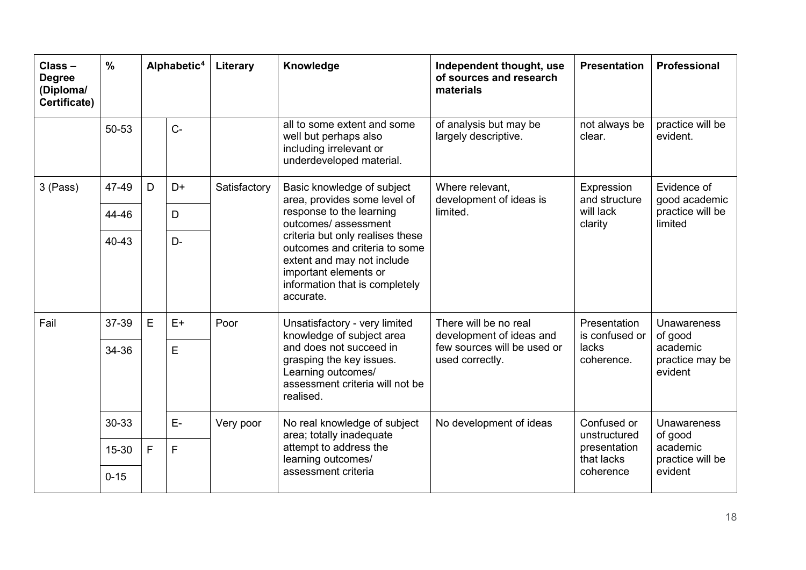| Class-<br><b>Degree</b><br>(Diploma/<br>Certificate) | $\frac{0}{0}$ | Alphabetic <sup>4</sup> |              | Literary                                                                                                 | Knowledge                                                                                                                                                               | Independent thought, use<br>of sources and research<br>materials | <b>Presentation</b>            | <b>Professional</b>                    |  |
|------------------------------------------------------|---------------|-------------------------|--------------|----------------------------------------------------------------------------------------------------------|-------------------------------------------------------------------------------------------------------------------------------------------------------------------------|------------------------------------------------------------------|--------------------------------|----------------------------------------|--|
|                                                      | 50-53         |                         | $C -$        |                                                                                                          | all to some extent and some<br>well but perhaps also<br>including irrelevant or<br>underdeveloped material.                                                             | of analysis but may be<br>largely descriptive.                   | not always be<br>clear.        | practice will be<br>evident.           |  |
| 3 (Pass)                                             | 47-49         | D<br>D+<br>D            | Satisfactory | Basic knowledge of subject<br>area, provides some level of                                               | Where relevant,<br>development of ideas is                                                                                                                              | Expression<br>and structure                                      | Evidence of<br>good academic   |                                        |  |
|                                                      | 44-46         |                         |              |                                                                                                          | response to the learning<br>outcomes/assessment                                                                                                                         | limited.                                                         | will lack<br>clarity           | practice will be<br>limited            |  |
|                                                      | $40 - 43$     | $D -$                   |              |                                                                                                          | criteria but only realises these<br>outcomes and criteria to some<br>extent and may not include<br>important elements or<br>information that is completely<br>accurate. |                                                                  |                                |                                        |  |
| Fail                                                 | 37-39         | E<br>$E+$               | Poor         |                                                                                                          | Unsatisfactory - very limited<br>knowledge of subject area                                                                                                              | There will be no real<br>development of ideas and                | Presentation<br>is confused or | <b>Unawareness</b><br>of good          |  |
|                                                      | 34-36         |                         | E            |                                                                                                          | and does not succeed in<br>grasping the key issues.<br>Learning outcomes/<br>assessment criteria will not be<br>realised.                                               | few sources will be used or<br>used correctly.                   | lacks<br>coherence.            | academic<br>practice may be<br>evident |  |
|                                                      | 30-33         | E-                      | Very poor    | No real knowledge of subject<br>area; totally inadequate<br>attempt to address the<br>learning outcomes/ | No development of ideas                                                                                                                                                 | Confused or<br>unstructured<br>presentation<br>that lacks        | <b>Unawareness</b><br>of good  |                                        |  |
|                                                      | 15-30         | F<br>F                  |              |                                                                                                          |                                                                                                                                                                         |                                                                  | academic<br>practice will be   |                                        |  |
|                                                      | $0 - 15$      |                         |              |                                                                                                          | assessment criteria                                                                                                                                                     |                                                                  | coherence                      | evident                                |  |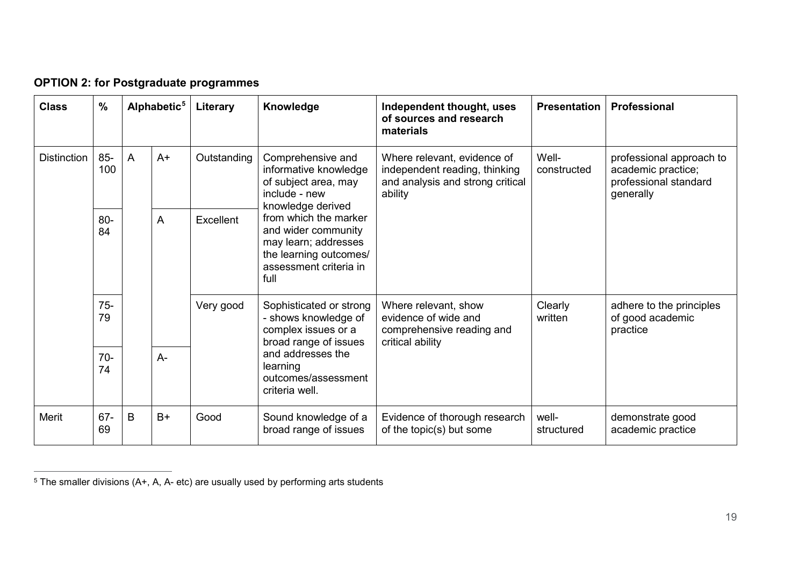| <b>Class</b>       | $\frac{0}{0}$ |                | Alphabetic <sup>5</sup> | Literary                                                                                                                         | Knowledge                                                                                                | Independent thought, uses<br>of sources and research<br>materials                                           | <b>Presentation</b>                                                                           | Professional                                                                         |                                                          |
|--------------------|---------------|----------------|-------------------------|----------------------------------------------------------------------------------------------------------------------------------|----------------------------------------------------------------------------------------------------------|-------------------------------------------------------------------------------------------------------------|-----------------------------------------------------------------------------------------------|--------------------------------------------------------------------------------------|----------------------------------------------------------|
| <b>Distinction</b> | $85 -$<br>100 | $\overline{A}$ | $A+$                    | Outstanding                                                                                                                      | Comprehensive and<br>informative knowledge<br>of subject area, may<br>include - new<br>knowledge derived | Where relevant, evidence of<br>independent reading, thinking<br>and analysis and strong critical<br>ability | Well-<br>constructed                                                                          | professional approach to<br>academic practice;<br>professional standard<br>generally |                                                          |
|                    | $80 -$<br>84  |                | A<br>Excellent          | from which the marker<br>and wider community<br>may learn; addresses<br>the learning outcomes/<br>assessment criteria in<br>full |                                                                                                          |                                                                                                             |                                                                                               |                                                                                      |                                                          |
|                    | $75-$<br>79   |                |                         |                                                                                                                                  | Very good                                                                                                | Sophisticated or strong<br>- shows knowledge of<br>complex issues or a<br>broad range of issues             | Where relevant, show<br>evidence of wide and<br>comprehensive reading and<br>critical ability | Clearly<br>written                                                                   | adhere to the principles<br>of good academic<br>practice |
|                    | $70 -$<br>74  |                | $A -$                   |                                                                                                                                  | and addresses the<br>learning<br>outcomes/assessment<br>criteria well.                                   |                                                                                                             |                                                                                               |                                                                                      |                                                          |
| Merit              | $67 -$<br>69  | B              | $B+$                    | Good                                                                                                                             | Sound knowledge of a<br>broad range of issues                                                            | Evidence of thorough research<br>of the topic(s) but some                                                   | well-<br>structured                                                                           | demonstrate good<br>academic practice                                                |                                                          |

<span id="page-18-1"></span>**OPTION 2: for Postgraduate programmes**

<span id="page-18-0"></span> $\overline{a}$  $^5$  The smaller divisions (A+, A, A- etc) are usually used by performing arts students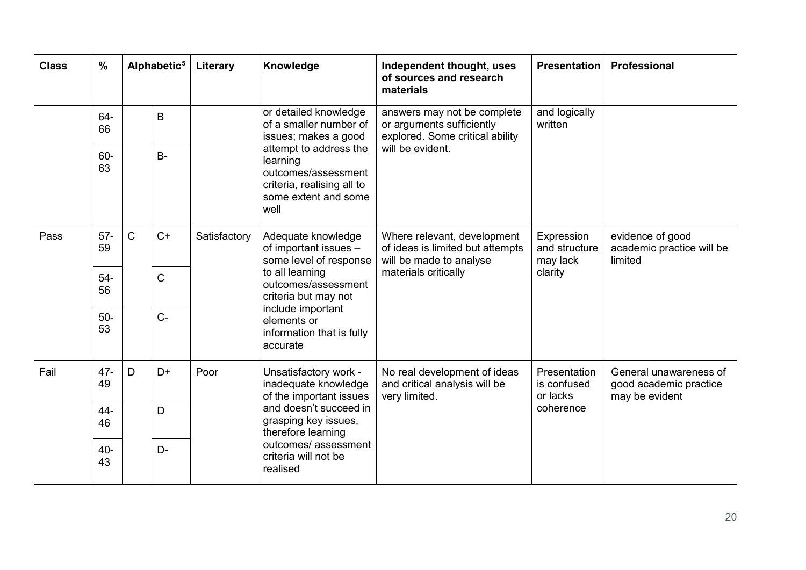| <b>Class</b> | $\frac{0}{0}$ |              | Alphabetic <sup>5</sup> | Literary                                                                | Knowledge                                                                                                                                                                                                            | Independent thought, uses<br>of sources and research<br>materials                                                  | <b>Presentation</b>                                  | <b>Professional</b>                                                |
|--------------|---------------|--------------|-------------------------|-------------------------------------------------------------------------|----------------------------------------------------------------------------------------------------------------------------------------------------------------------------------------------------------------------|--------------------------------------------------------------------------------------------------------------------|------------------------------------------------------|--------------------------------------------------------------------|
|              | 64-<br>66     | B            |                         | or detailed knowledge<br>of a smaller number of<br>issues; makes a good | answers may not be complete<br>or arguments sufficiently<br>explored. Some critical ability                                                                                                                          | and logically<br>written                                                                                           |                                                      |                                                                    |
|              | 60-<br>63     |              | $B -$                   |                                                                         | attempt to address the<br>learning<br>outcomes/assessment<br>criteria, realising all to<br>some extent and some<br>well                                                                                              | will be evident.                                                                                                   |                                                      |                                                                    |
| Pass         | $57 -$<br>59  | $\mathsf{C}$ | $C+$                    | Satisfactory                                                            | Adequate knowledge<br>of important issues -<br>some level of response<br>to all learning<br>outcomes/assessment<br>criteria but may not<br>include important<br>elements or<br>information that is fully<br>accurate | Where relevant, development<br>of ideas is limited but attempts<br>will be made to analyse<br>materials critically | Expression<br>and structure<br>may lack<br>clarity   | evidence of good<br>academic practice will be<br>limited           |
|              | $54-$<br>56   |              | $\mathsf C$             |                                                                         |                                                                                                                                                                                                                      |                                                                                                                    |                                                      |                                                                    |
|              | $50-$<br>53   |              | $C -$                   |                                                                         |                                                                                                                                                                                                                      |                                                                                                                    |                                                      |                                                                    |
| Fail         | $47 -$<br>49  | D            | D+                      | Poor                                                                    | Unsatisfactory work -<br>inadequate knowledge<br>of the important issues                                                                                                                                             | No real development of ideas<br>and critical analysis will be<br>very limited.                                     | Presentation<br>is confused<br>or lacks<br>coherence | General unawareness of<br>good academic practice<br>may be evident |
|              | $44 -$<br>46  | D<br>D-      |                         |                                                                         | and doesn't succeed in<br>grasping key issues,<br>therefore learning                                                                                                                                                 |                                                                                                                    |                                                      |                                                                    |
|              | $40 -$<br>43  |              |                         | outcomes/assessment<br>criteria will not be<br>realised                 |                                                                                                                                                                                                                      |                                                                                                                    |                                                      |                                                                    |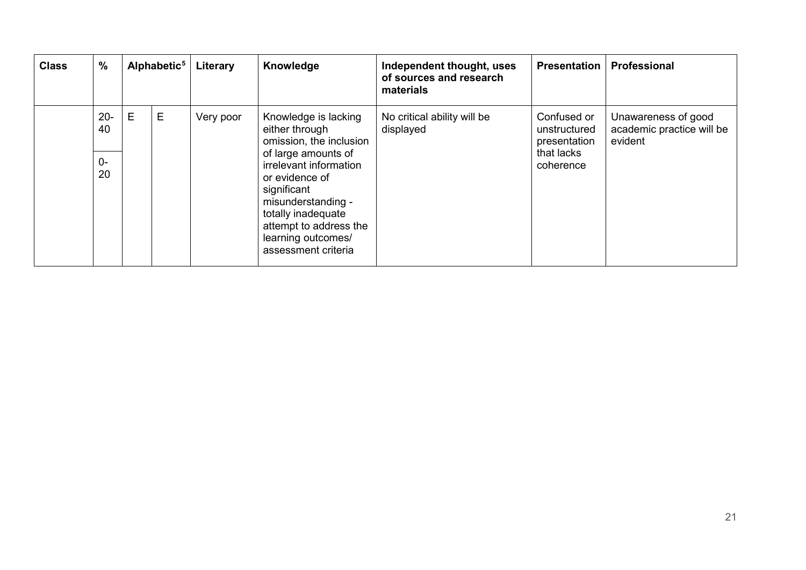| <b>Class</b> | $\%$         |   | Alphabetic <sup>5</sup> | Literary  | Knowledge                                                                                                                                                                                         | Independent thought, uses<br>of sources and research<br>materials | <b>Presentation</b>                         | Professional                                                |
|--------------|--------------|---|-------------------------|-----------|---------------------------------------------------------------------------------------------------------------------------------------------------------------------------------------------------|-------------------------------------------------------------------|---------------------------------------------|-------------------------------------------------------------|
|              | $20 -$<br>40 | E | E                       | Very poor | Knowledge is lacking<br>either through<br>omission, the inclusion                                                                                                                                 | No critical ability will be<br>displayed                          | Confused or<br>unstructured<br>presentation | Unawareness of good<br>academic practice will be<br>evident |
|              | $0-$<br>20   |   |                         |           | of large amounts of<br>irrelevant information<br>or evidence of<br>significant<br>misunderstanding -<br>totally inadequate<br>attempt to address the<br>learning outcomes/<br>assessment criteria |                                                                   | that lacks<br>coherence                     |                                                             |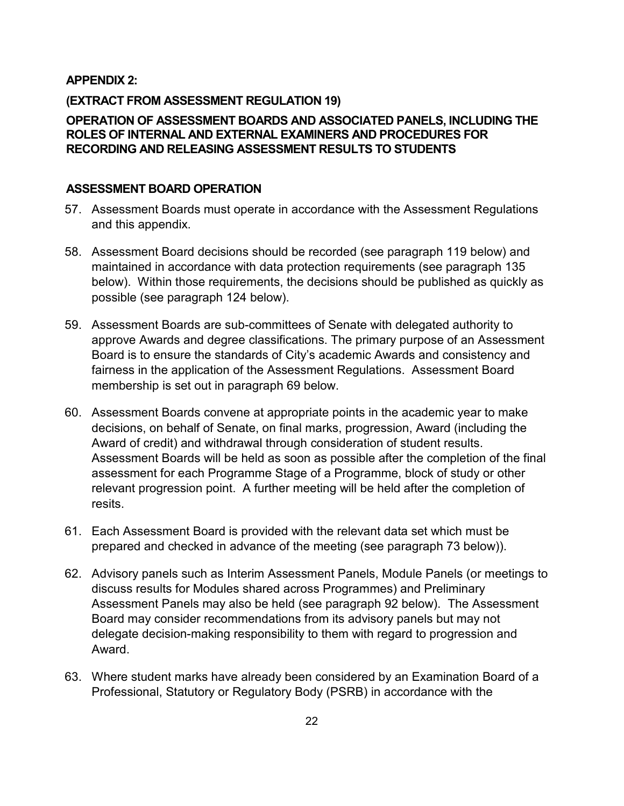#### **APPENDIX 2:**

#### **(EXTRACT FROM ASSESSMENT REGULATION 19)**

#### <span id="page-21-0"></span>**OPERATION OF ASSESSMENT BOARDS AND ASSOCIATED PANELS, INCLUDING THE ROLES OF INTERNAL AND EXTERNAL EXAMINERS AND PROCEDURES FOR RECORDING AND RELEASING ASSESSMENT RESULTS TO STUDENTS**

#### <span id="page-21-1"></span>**ASSESSMENT BOARD OPERATION**

- 57. Assessment Boards must operate in accordance with the Assessment Regulations and this appendix.
- <span id="page-21-2"></span>58. Assessment Board decisions should be recorded (see paragraph 119 below) and maintained in accordance with data protection requirements (see paragraph 135 below). Within those requirements, the decisions should be published as quickly as possible (see paragraph 124 below).
- 59. Assessment Boards are sub-committees of Senate with delegated authority to approve Awards and degree classifications. The primary purpose of an Assessment Board is to ensure the standards of City's academic Awards and consistency and fairness in the application of the Assessment Regulations. Assessment Board membership is set out in paragraph 69 below.
- 60. Assessment Boards convene at appropriate points in the academic year to make decisions, on behalf of Senate, on final marks, progression, Award (including the Award of credit) and withdrawal through consideration of student results. Assessment Boards will be held as soon as possible after the completion of the final assessment for each Programme Stage of a Programme, block of study or other relevant progression point. A further meeting will be held after the completion of resits.
- 61. Each Assessment Board is provided with the relevant data set which must be prepared and checked in advance of the meeting (see paragraph 73 below)).
- 62. Advisory panels such as Interim Assessment Panels, Module Panels (or meetings to discuss results for Modules shared across Programmes) and Preliminary Assessment Panels may also be held (see paragraph 92 below). The Assessment Board may consider recommendations from its advisory panels but may not delegate decision-making responsibility to them with regard to progression and Award.
- 63. Where student marks have already been considered by an Examination Board of a Professional, Statutory or Regulatory Body (PSRB) in accordance with the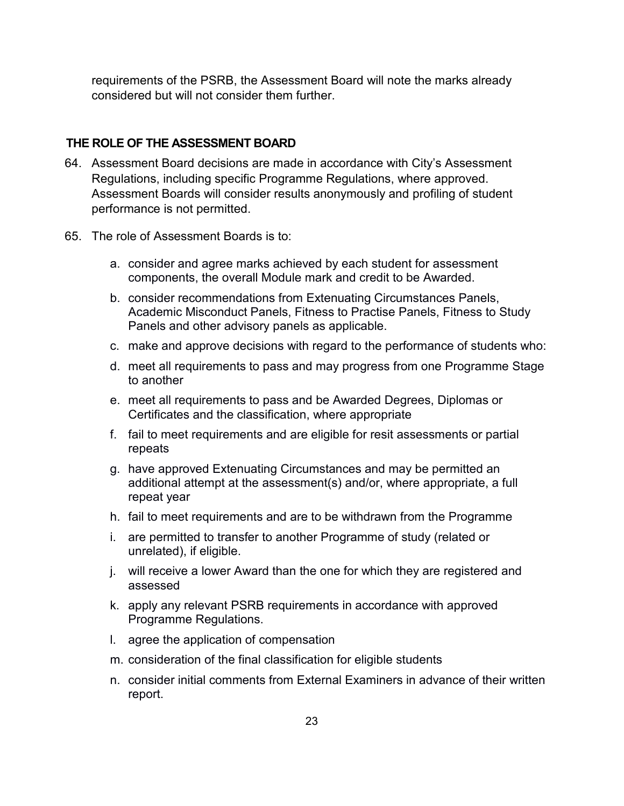requirements of the PSRB, the Assessment Board will note the marks already considered but will not consider them further.

#### **THE ROLE OF THE ASSESSMENT BOARD**

- <span id="page-22-0"></span>64. Assessment Board decisions are made in accordance with City's Assessment Regulations, including specific Programme Regulations, where approved. Assessment Boards will consider results anonymously and profiling of student performance is not permitted.
- 65. The role of Assessment Boards is to:
	- a. consider and agree marks achieved by each student for assessment components, the overall Module mark and credit to be Awarded.
	- b. consider recommendations from Extenuating Circumstances Panels, Academic Misconduct Panels, Fitness to Practise Panels, Fitness to Study Panels and other advisory panels as applicable.
	- c. make and approve decisions with regard to the performance of students who:
	- d. meet all requirements to pass and may progress from one Programme Stage to another
	- e. meet all requirements to pass and be Awarded Degrees, Diplomas or Certificates and the classification, where appropriate
	- f. fail to meet requirements and are eligible for resit assessments or partial repeats
	- g. have approved Extenuating Circumstances and may be permitted an additional attempt at the assessment(s) and/or, where appropriate, a full repeat year
	- h. fail to meet requirements and are to be withdrawn from the Programme
	- i. are permitted to transfer to another Programme of study (related or unrelated), if eligible.
	- j. will receive a lower Award than the one for which they are registered and assessed
	- k. apply any relevant PSRB requirements in accordance with approved Programme Regulations.
	- l. agree the application of compensation
	- m. consideration of the final classification for eligible students
	- n. consider initial comments from External Examiners in advance of their written report.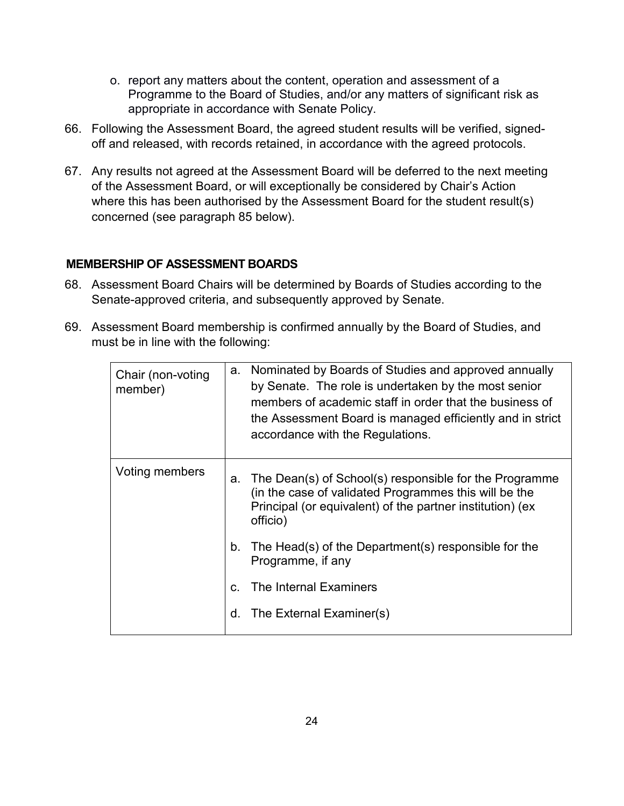- o. report any matters about the content, operation and assessment of a Programme to the Board of Studies, and/or any matters of significant risk as appropriate in accordance with Senate Policy.
- 66. Following the Assessment Board, the agreed student results will be verified, signedoff and released, with records retained, in accordance with the agreed protocols.
- 67. Any results not agreed at the Assessment Board will be deferred to the next meeting of the Assessment Board, or will exceptionally be considered by Chair's Action where this has been authorised by the Assessment Board for the student result(s) concerned (see paragraph 85 below).

#### **MEMBERSHIP OF ASSESSMENT BOARDS**

- 68. Assessment Board Chairs will be determined by Boards of Studies according to the Senate-approved criteria, and subsequently approved by Senate.
- <span id="page-23-0"></span>69. Assessment Board membership is confirmed annually by the Board of Studies, and must be in line with the following:

| Chair (non-voting<br>member) | a. | Nominated by Boards of Studies and approved annually<br>by Senate. The role is undertaken by the most senior<br>members of academic staff in order that the business of<br>the Assessment Board is managed efficiently and in strict<br>accordance with the Regulations. |
|------------------------------|----|--------------------------------------------------------------------------------------------------------------------------------------------------------------------------------------------------------------------------------------------------------------------------|
| Voting members               | а. | The Dean(s) of School(s) responsible for the Programme<br>(in the case of validated Programmes this will be the<br>Principal (or equivalent) of the partner institution) (ex<br>officio)                                                                                 |
|                              | b. | The Head(s) of the Department(s) responsible for the<br>Programme, if any                                                                                                                                                                                                |
|                              | C. | The Internal Examiners                                                                                                                                                                                                                                                   |
|                              | d. | The External Examiner(s)                                                                                                                                                                                                                                                 |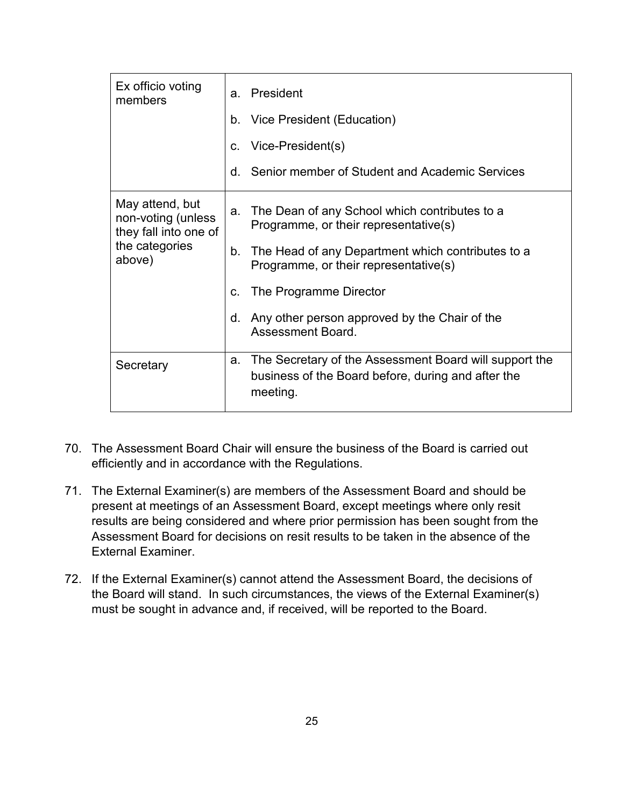| Ex officio voting<br>members                                                               | a. | President                                                                                                                |
|--------------------------------------------------------------------------------------------|----|--------------------------------------------------------------------------------------------------------------------------|
|                                                                                            |    | b. Vice President (Education)                                                                                            |
|                                                                                            | C. | Vice-President(s)                                                                                                        |
|                                                                                            | d. | Senior member of Student and Academic Services                                                                           |
| May attend, but<br>non-voting (unless<br>they fall into one of<br>the categories<br>above) | a. | The Dean of any School which contributes to a<br>Programme, or their representative(s)                                   |
|                                                                                            | b. | The Head of any Department which contributes to a<br>Programme, or their representative(s)                               |
|                                                                                            | C. | The Programme Director                                                                                                   |
|                                                                                            | d. | Any other person approved by the Chair of the<br><b>Assessment Board.</b>                                                |
| Secretary                                                                                  | a. | The Secretary of the Assessment Board will support the<br>business of the Board before, during and after the<br>meeting. |

- 70. The Assessment Board Chair will ensure the business of the Board is carried out efficiently and in accordance with the Regulations.
- 71. The External Examiner(s) are members of the Assessment Board and should be present at meetings of an Assessment Board, except meetings where only resit results are being considered and where prior permission has been sought from the Assessment Board for decisions on resit results to be taken in the absence of the External Examiner.
- 72. If the External Examiner(s) cannot attend the Assessment Board, the decisions of the Board will stand. In such circumstances, the views of the External Examiner(s) must be sought in advance and, if received, will be reported to the Board.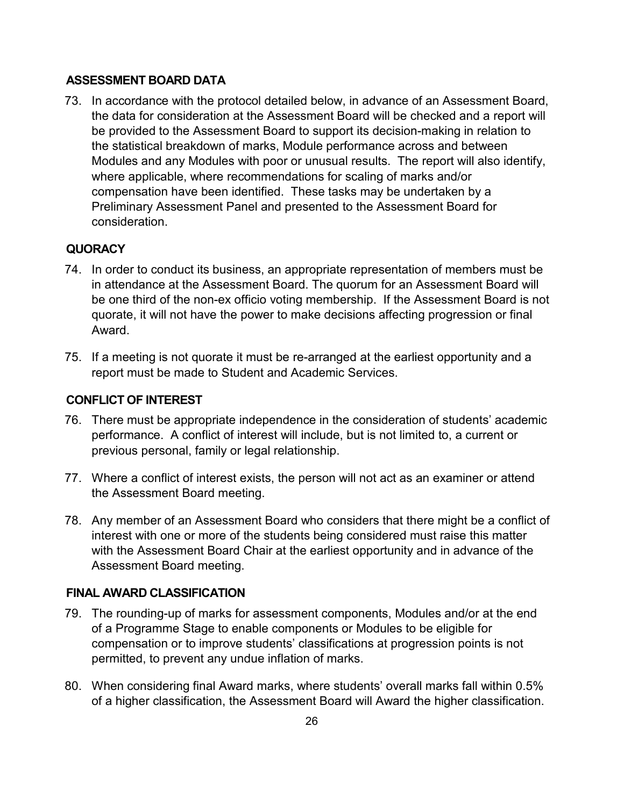#### **ASSESSMENT BOARD DATA**

<span id="page-25-0"></span>73. In accordance with the protocol detailed below, in advance of an Assessment Board, the data for consideration at the Assessment Board will be checked and a report will be provided to the Assessment Board to support its decision-making in relation to the statistical breakdown of marks, Module performance across and between Modules and any Modules with poor or unusual results. The report will also identify, where applicable, where recommendations for scaling of marks and/or compensation have been identified. These tasks may be undertaken by a Preliminary Assessment Panel and presented to the Assessment Board for consideration.

#### **QUORACY**

- <span id="page-25-1"></span>74. In order to conduct its business, an appropriate representation of members must be in attendance at the Assessment Board. The quorum for an Assessment Board will be one third of the non-ex officio voting membership. If the Assessment Board is not quorate, it will not have the power to make decisions affecting progression or final Award.
- 75. If a meeting is not quorate it must be re-arranged at the earliest opportunity and a report must be made to Student and Academic Services.

#### **CONFLICT OF INTEREST**

- <span id="page-25-2"></span>76. There must be appropriate independence in the consideration of students' academic performance. A conflict of interest will include, but is not limited to, a current or previous personal, family or legal relationship.
- 77. Where a conflict of interest exists, the person will not act as an examiner or attend the Assessment Board meeting.
- 78. Any member of an Assessment Board who considers that there might be a conflict of interest with one or more of the students being considered must raise this matter with the Assessment Board Chair at the earliest opportunity and in advance of the Assessment Board meeting.

#### **FINAL AWARD CLASSIFICATION**

- <span id="page-25-3"></span>79. The rounding-up of marks for assessment components, Modules and/or at the end of a Programme Stage to enable components or Modules to be eligible for compensation or to improve students' classifications at progression points is not permitted, to prevent any undue inflation of marks.
- 80. When considering final Award marks, where students' overall marks fall within 0.5% of a higher classification, the Assessment Board will Award the higher classification.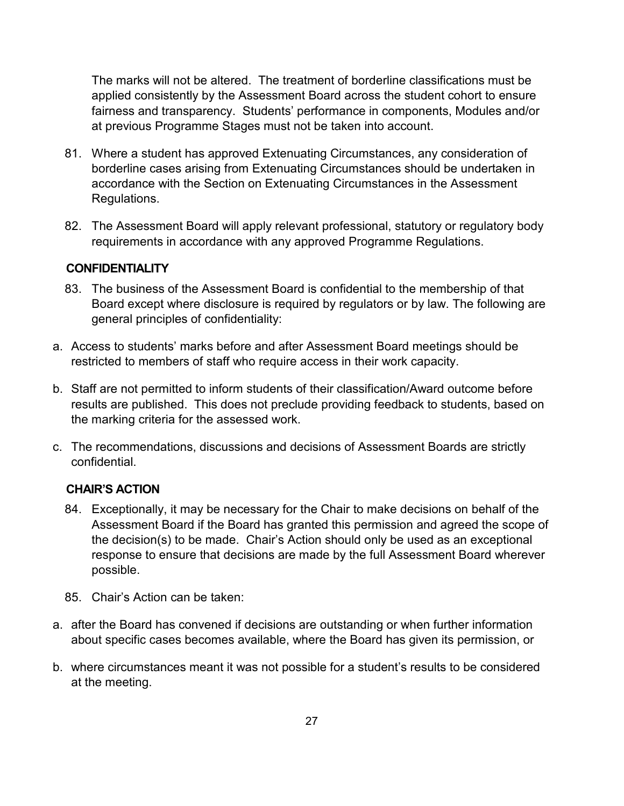The marks will not be altered. The treatment of borderline classifications must be applied consistently by the Assessment Board across the student cohort to ensure fairness and transparency. Students' performance in components, Modules and/or at previous Programme Stages must not be taken into account.

- 81. Where a student has approved Extenuating Circumstances, any consideration of borderline cases arising from Extenuating Circumstances should be undertaken in accordance with the Section on Extenuating Circumstances in the Assessment Regulations.
- 82. The Assessment Board will apply relevant professional, statutory or regulatory body requirements in accordance with any approved Programme Regulations.

#### **CONFIDENTIALITY**

- <span id="page-26-0"></span>83. The business of the Assessment Board is confidential to the membership of that Board except where disclosure is required by regulators or by law. The following are general principles of confidentiality:
- a. Access to students' marks before and after Assessment Board meetings should be restricted to members of staff who require access in their work capacity.
- b. Staff are not permitted to inform students of their classification/Award outcome before results are published. This does not preclude providing feedback to students, based on the marking criteria for the assessed work.
- c. The recommendations, discussions and decisions of Assessment Boards are strictly confidential.

#### **CHAIR'S ACTION**

- <span id="page-26-1"></span>84. Exceptionally, it may be necessary for the Chair to make decisions on behalf of the Assessment Board if the Board has granted this permission and agreed the scope of the decision(s) to be made. Chair's Action should only be used as an exceptional response to ensure that decisions are made by the full Assessment Board wherever possible.
- 85. Chair's Action can be taken:
- a. after the Board has convened if decisions are outstanding or when further information about specific cases becomes available, where the Board has given its permission, or
- b. where circumstances meant it was not possible for a student's results to be considered at the meeting.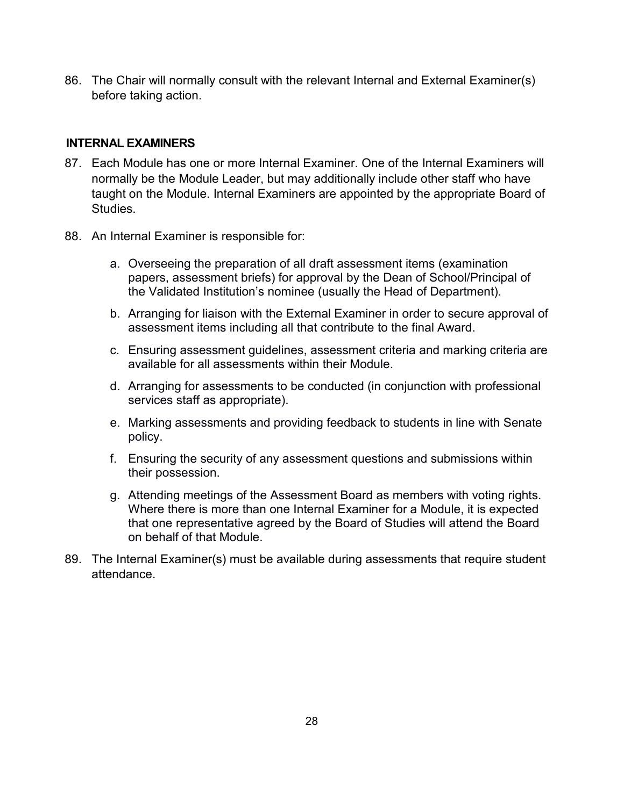86. The Chair will normally consult with the relevant Internal and External Examiner(s) before taking action.

#### **INTERNAL EXAMINERS**

- <span id="page-27-0"></span>87. Each Module has one or more Internal Examiner. One of the Internal Examiners will normally be the Module Leader, but may additionally include other staff who have taught on the Module. Internal Examiners are appointed by the appropriate Board of Studies.
- 88. An Internal Examiner is responsible for:
	- a. Overseeing the preparation of all draft assessment items (examination papers, assessment briefs) for approval by the Dean of School/Principal of the Validated Institution's nominee (usually the Head of Department).
	- b. Arranging for liaison with the External Examiner in order to secure approval of assessment items including all that contribute to the final Award.
	- c. Ensuring assessment guidelines, assessment criteria and marking criteria are available for all assessments within their Module.
	- d. Arranging for assessments to be conducted (in conjunction with professional services staff as appropriate).
	- e. Marking assessments and providing feedback to students in line with Senate policy.
	- f. Ensuring the security of any assessment questions and submissions within their possession.
	- g. Attending meetings of the Assessment Board as members with voting rights. Where there is more than one Internal Examiner for a Module, it is expected that one representative agreed by the Board of Studies will attend the Board on behalf of that Module.
- 89. The Internal Examiner(s) must be available during assessments that require student attendance.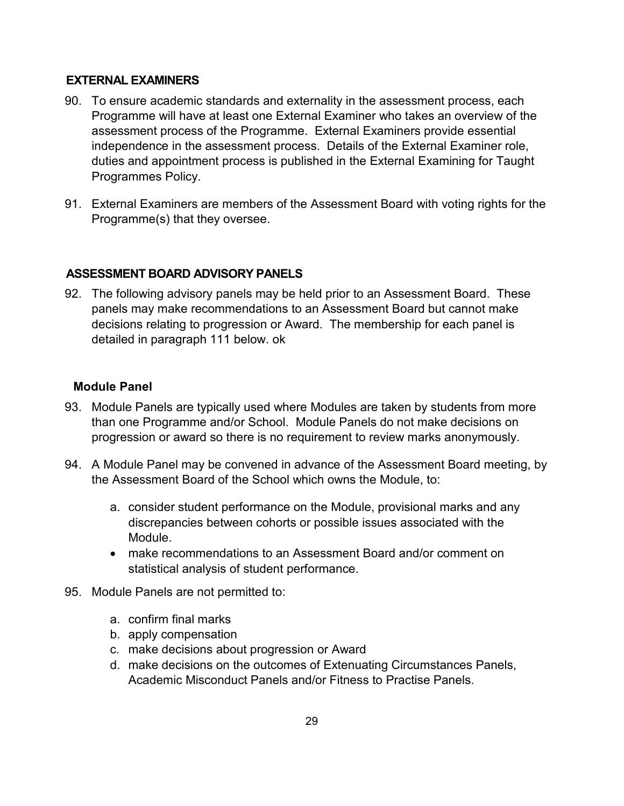#### **EXTERNAL EXAMINERS**

- <span id="page-28-0"></span>90. To ensure academic standards and externality in the assessment process, each Programme will have at least one External Examiner who takes an overview of the assessment process of the Programme. External Examiners provide essential independence in the assessment process. Details of the External Examiner role, duties and appointment process is published in the External Examining for Taught Programmes Policy.
- 91. External Examiners are members of the Assessment Board with voting rights for the Programme(s) that they oversee.

#### **ASSESSMENT BOARD ADVISORY PANELS**

<span id="page-28-1"></span>92. The following advisory panels may be held prior to an Assessment Board. These panels may make recommendations to an Assessment Board but cannot make decisions relating to progression or Award. The membership for each panel is detailed in paragraph 111 below. ok

#### **Module Panel**

- 93. Module Panels are typically used where Modules are taken by students from more than one Programme and/or School. Module Panels do not make decisions on progression or award so there is no requirement to review marks anonymously.
- <span id="page-28-2"></span>94. A Module Panel may be convened in advance of the Assessment Board meeting, by the Assessment Board of the School which owns the Module, to:
	- a. consider student performance on the Module, provisional marks and any discrepancies between cohorts or possible issues associated with the Module.
	- make recommendations to an Assessment Board and/or comment on statistical analysis of student performance.
- 95. Module Panels are not permitted to:
	- a. confirm final marks
	- b. apply compensation
	- c. make decisions about progression or Award
	- d. make decisions on the outcomes of Extenuating Circumstances Panels, Academic Misconduct Panels and/or Fitness to Practise Panels.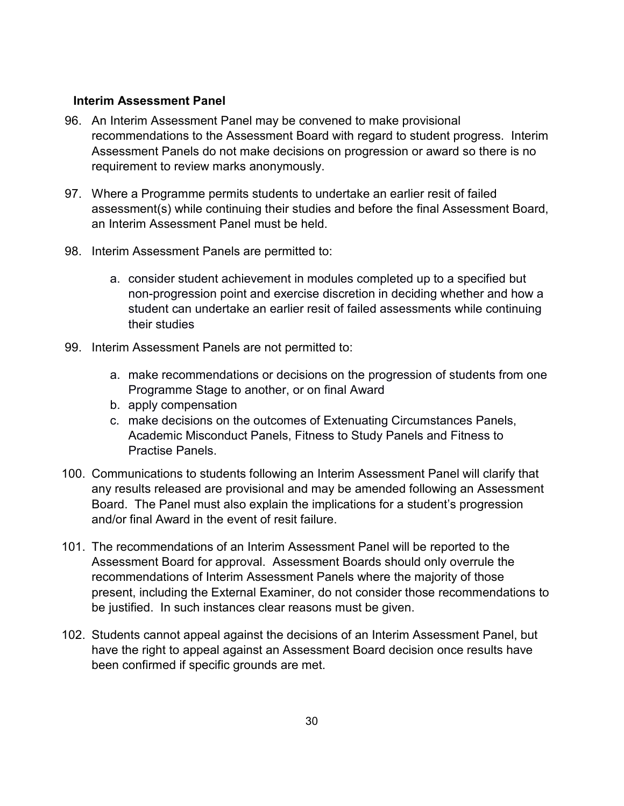#### **Interim Assessment Panel**

- <span id="page-29-0"></span>96. An Interim Assessment Panel may be convened to make provisional recommendations to the Assessment Board with regard to student progress. Interim Assessment Panels do not make decisions on progression or award so there is no requirement to review marks anonymously.
- 97. Where a Programme permits students to undertake an earlier resit of failed assessment(s) while continuing their studies and before the final Assessment Board, an Interim Assessment Panel must be held.
- 98. Interim Assessment Panels are permitted to:
	- a. consider student achievement in modules completed up to a specified but non-progression point and exercise discretion in deciding whether and how a student can undertake an earlier resit of failed assessments while continuing their studies
- 99. Interim Assessment Panels are not permitted to:
	- a. make recommendations or decisions on the progression of students from one Programme Stage to another, or on final Award
	- b. apply compensation
	- c. make decisions on the outcomes of Extenuating Circumstances Panels, Academic Misconduct Panels, Fitness to Study Panels and Fitness to Practise Panels.
- 100. Communications to students following an Interim Assessment Panel will clarify that any results released are provisional and may be amended following an Assessment Board. The Panel must also explain the implications for a student's progression and/or final Award in the event of resit failure.
- 101. The recommendations of an Interim Assessment Panel will be reported to the Assessment Board for approval. Assessment Boards should only overrule the recommendations of Interim Assessment Panels where the majority of those present, including the External Examiner, do not consider those recommendations to be justified. In such instances clear reasons must be given.
- 102. Students cannot appeal against the decisions of an Interim Assessment Panel, but have the right to appeal against an Assessment Board decision once results have been confirmed if specific grounds are met.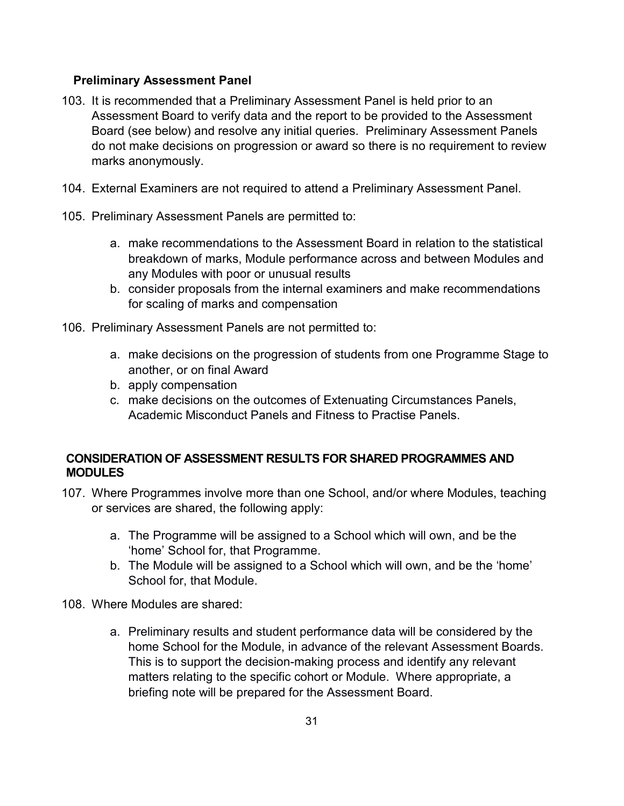#### **Preliminary Assessment Panel**

- <span id="page-30-0"></span>103. It is recommended that a Preliminary Assessment Panel is held prior to an Assessment Board to verify data and the report to be provided to the Assessment Board (see below) and resolve any initial queries. Preliminary Assessment Panels do not make decisions on progression or award so there is no requirement to review marks anonymously.
- 104. External Examiners are not required to attend a Preliminary Assessment Panel.
- 105. Preliminary Assessment Panels are permitted to:
	- a. make recommendations to the Assessment Board in relation to the statistical breakdown of marks, Module performance across and between Modules and any Modules with poor or unusual results
	- b. consider proposals from the internal examiners and make recommendations for scaling of marks and compensation
- 106. Preliminary Assessment Panels are not permitted to:
	- a. make decisions on the progression of students from one Programme Stage to another, or on final Award
	- b. apply compensation
	- c. make decisions on the outcomes of Extenuating Circumstances Panels, Academic Misconduct Panels and Fitness to Practise Panels.

## **CONSIDERATION OF ASSESSMENT RESULTS FOR SHARED PROGRAMMES AND MODULES**

- <span id="page-30-1"></span>107. Where Programmes involve more than one School, and/or where Modules, teaching or services are shared, the following apply:
	- a. The Programme will be assigned to a School which will own, and be the 'home' School for, that Programme.
	- b. The Module will be assigned to a School which will own, and be the 'home' School for, that Module.
- 108. Where Modules are shared:
	- a. Preliminary results and student performance data will be considered by the home School for the Module, in advance of the relevant Assessment Boards. This is to support the decision-making process and identify any relevant matters relating to the specific cohort or Module. Where appropriate, a briefing note will be prepared for the Assessment Board.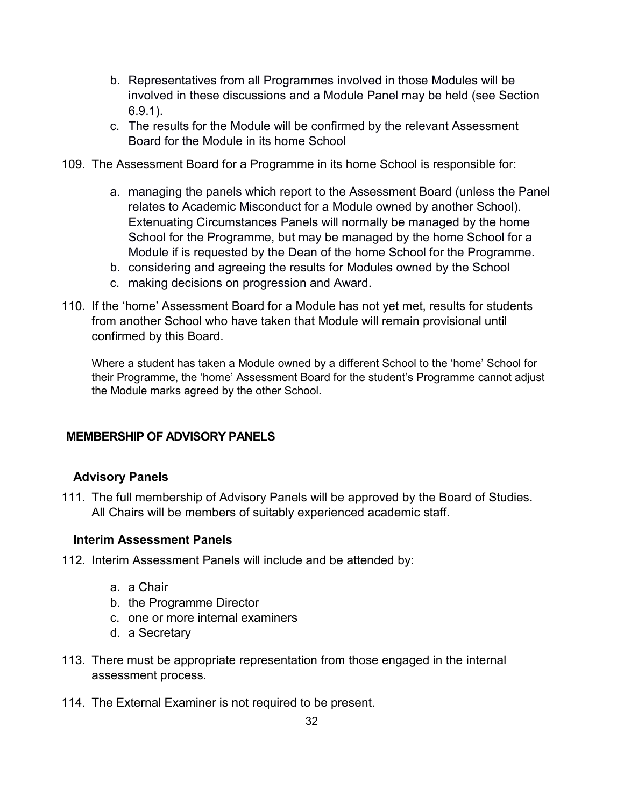- b. Representatives from all Programmes involved in those Modules will be involved in these discussions and a Module Panel may be held (see Section 6.9.1).
- c. The results for the Module will be confirmed by the relevant Assessment Board for the Module in its home School
- 109. The Assessment Board for a Programme in its home School is responsible for:
	- a. managing the panels which report to the Assessment Board (unless the Panel relates to Academic Misconduct for a Module owned by another School). Extenuating Circumstances Panels will normally be managed by the home School for the Programme, but may be managed by the home School for a Module if is requested by the Dean of the home School for the Programme.
	- b. considering and agreeing the results for Modules owned by the School
	- c. making decisions on progression and Award.
- 110. If the 'home' Assessment Board for a Module has not yet met, results for students from another School who have taken that Module will remain provisional until confirmed by this Board.

Where a student has taken a Module owned by a different School to the 'home' School for their Programme, the 'home' Assessment Board for the student's Programme cannot adjust the Module marks agreed by the other School.

#### **MEMBERSHIP OF ADVISORY PANELS**

#### <span id="page-31-0"></span>**Advisory Panels**

111. The full membership of Advisory Panels will be approved by the Board of Studies. All Chairs will be members of suitably experienced academic staff.

#### <span id="page-31-1"></span>**Interim Assessment Panels**

- <span id="page-31-2"></span>112. Interim Assessment Panels will include and be attended by:
	- a. a Chair
	- b. the Programme Director
	- c. one or more internal examiners
	- d. a Secretary
- 113. There must be appropriate representation from those engaged in the internal assessment process.
- 114. The External Examiner is not required to be present.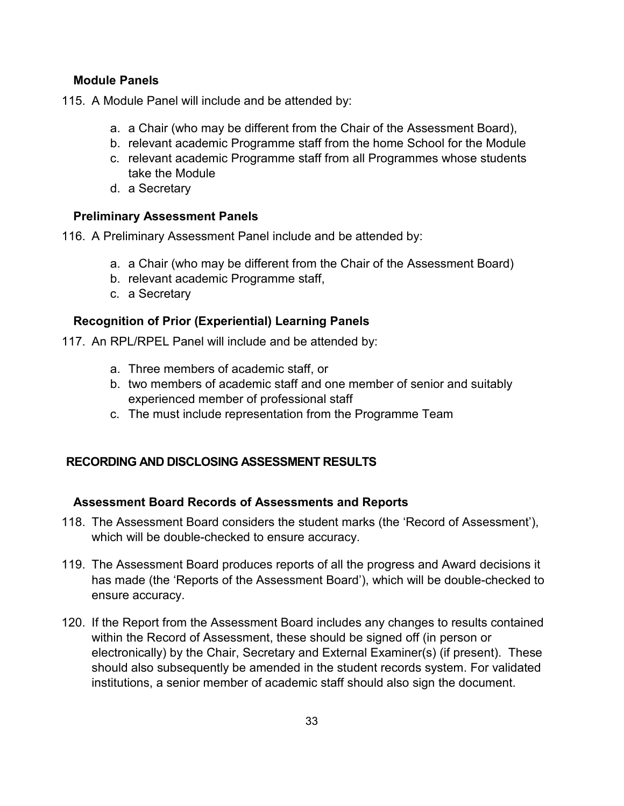#### **Module Panels**

<span id="page-32-0"></span>115. A Module Panel will include and be attended by:

- a. a Chair (who may be different from the Chair of the Assessment Board),
- b. relevant academic Programme staff from the home School for the Module
- c. relevant academic Programme staff from all Programmes whose students take the Module
- d. a Secretary

## **Preliminary Assessment Panels**

<span id="page-32-1"></span>116. A Preliminary Assessment Panel include and be attended by:

- a. a Chair (who may be different from the Chair of the Assessment Board)
- b. relevant academic Programme staff,
- c. a Secretary

## **Recognition of Prior (Experiential) Learning Panels**

- <span id="page-32-2"></span>117. An RPL/RPEL Panel will include and be attended by:
	- a. Three members of academic staff, or
	- b. two members of academic staff and one member of senior and suitably experienced member of professional staff
	- c. The must include representation from the Programme Team

## **RECORDING AND DISCLOSING ASSESSMENT RESULTS**

## **Assessment Board Records of Assessments and Reports**

- <span id="page-32-3"></span>118. The Assessment Board considers the student marks (the 'Record of Assessment'), which will be double-checked to ensure accuracy.
- <span id="page-32-4"></span>119. The Assessment Board produces reports of all the progress and Award decisions it has made (the 'Reports of the Assessment Board'), which will be double-checked to ensure accuracy.
- 120. If the Report from the Assessment Board includes any changes to results contained within the Record of Assessment, these should be signed off (in person or electronically) by the Chair, Secretary and External Examiner(s) (if present). These should also subsequently be amended in the student records system. For validated institutions, a senior member of academic staff should also sign the document.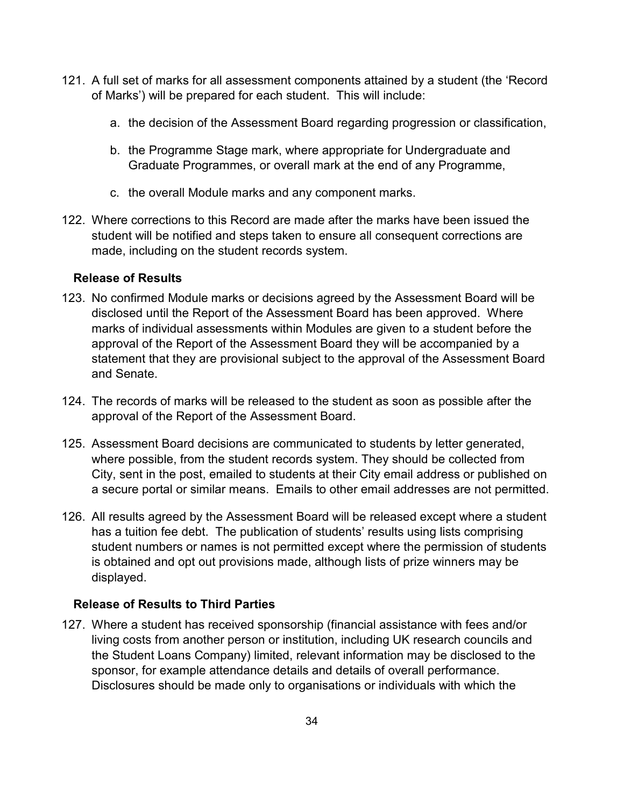- 121. A full set of marks for all assessment components attained by a student (the 'Record of Marks') will be prepared for each student. This will include:
	- a. the decision of the Assessment Board regarding progression or classification,
	- b. the Programme Stage mark, where appropriate for Undergraduate and Graduate Programmes, or overall mark at the end of any Programme,
	- c. the overall Module marks and any component marks.
- 122. Where corrections to this Record are made after the marks have been issued the student will be notified and steps taken to ensure all consequent corrections are made, including on the student records system.

#### **Release of Results**

- <span id="page-33-0"></span>123. No confirmed Module marks or decisions agreed by the Assessment Board will be disclosed until the Report of the Assessment Board has been approved. Where marks of individual assessments within Modules are given to a student before the approval of the Report of the Assessment Board they will be accompanied by a statement that they are provisional subject to the approval of the Assessment Board and Senate.
- 124. The records of marks will be released to the student as soon as possible after the approval of the Report of the Assessment Board.
- 125. Assessment Board decisions are communicated to students by letter generated, where possible, from the student records system. They should be collected from City, sent in the post, emailed to students at their City email address or published on a secure portal or similar means. Emails to other email addresses are not permitted.
- 126. All results agreed by the Assessment Board will be released except where a student has a tuition fee debt. The publication of students' results using lists comprising student numbers or names is not permitted except where the permission of students is obtained and opt out provisions made, although lists of prize winners may be displayed.

## **Release of Results to Third Parties**

<span id="page-33-1"></span>127. Where a student has received sponsorship (financial assistance with fees and/or living costs from another person or institution, including UK research councils and the Student Loans Company) limited, relevant information may be disclosed to the sponsor, for example attendance details and details of overall performance. Disclosures should be made only to organisations or individuals with which the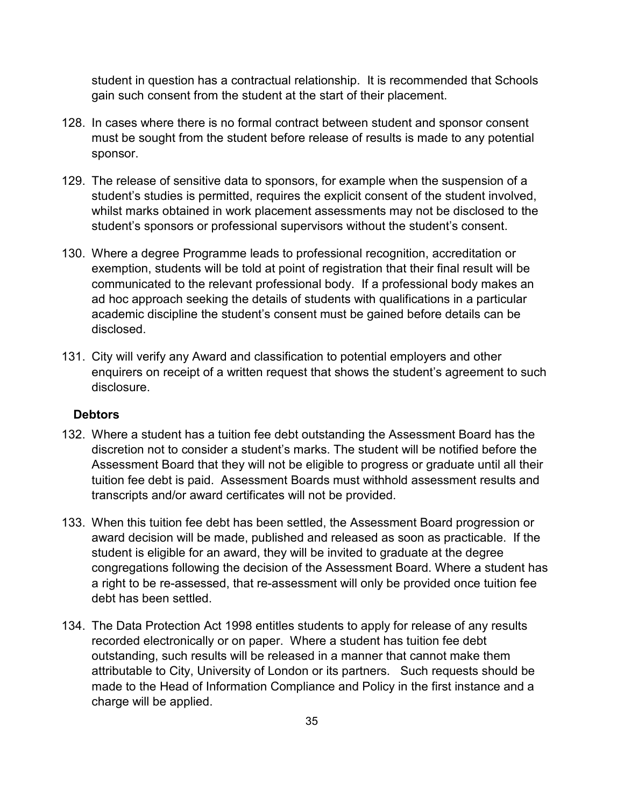student in question has a contractual relationship. It is recommended that Schools gain such consent from the student at the start of their placement.

- 128. In cases where there is no formal contract between student and sponsor consent must be sought from the student before release of results is made to any potential sponsor.
- 129. The release of sensitive data to sponsors, for example when the suspension of a student's studies is permitted, requires the explicit consent of the student involved, whilst marks obtained in work placement assessments may not be disclosed to the student's sponsors or professional supervisors without the student's consent.
- 130. Where a degree Programme leads to professional recognition, accreditation or exemption, students will be told at point of registration that their final result will be communicated to the relevant professional body. If a professional body makes an ad hoc approach seeking the details of students with qualifications in a particular academic discipline the student's consent must be gained before details can be disclosed.
- 131. City will verify any Award and classification to potential employers and other enquirers on receipt of a written request that shows the student's agreement to such disclosure.

#### **Debtors**

- <span id="page-34-0"></span>132. Where a student has a tuition fee debt outstanding the Assessment Board has the discretion not to consider a student's marks. The student will be notified before the Assessment Board that they will not be eligible to progress or graduate until all their tuition fee debt is paid. Assessment Boards must withhold assessment results and transcripts and/or award certificates will not be provided.
- 133. When this tuition fee debt has been settled, the Assessment Board progression or award decision will be made, published and released as soon as practicable. If the student is eligible for an award, they will be invited to graduate at the degree congregations following the decision of the Assessment Board. Where a student has a right to be re-assessed, that re-assessment will only be provided once tuition fee debt has been settled.
- 134. The Data Protection Act 1998 entitles students to apply for release of any results recorded electronically or on paper. Where a student has tuition fee debt outstanding, such results will be released in a manner that cannot make them attributable to City, University of London or its partners. Such requests should be made to the Head of Information Compliance and Policy in the first instance and a charge will be applied.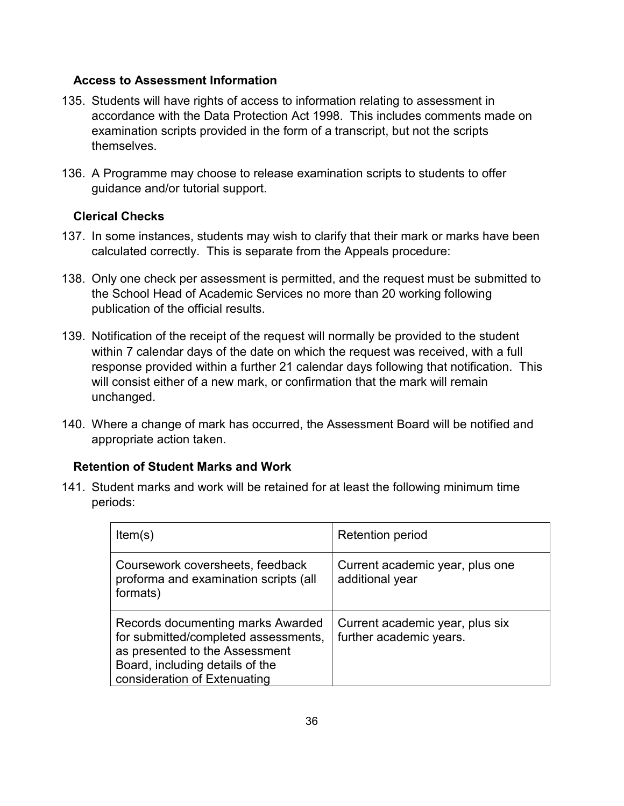#### **Access to Assessment Information**

- <span id="page-35-0"></span>135. Students will have rights of access to information relating to assessment in accordance with the Data Protection Act 1998. This includes comments made on examination scripts provided in the form of a transcript, but not the scripts themselves.
- 136. A Programme may choose to release examination scripts to students to offer guidance and/or tutorial support.

## **Clerical Checks**

- 137. In some instances, students may wish to clarify that their mark or marks have been calculated correctly. This is separate from the Appeals procedure:
- <span id="page-35-1"></span>138. Only one check per assessment is permitted, and the request must be submitted to the School Head of Academic Services no more than 20 working following publication of the official results.
- 139. Notification of the receipt of the request will normally be provided to the student within 7 calendar days of the date on which the request was received, with a full response provided within a further 21 calendar days following that notification. This will consist either of a new mark, or confirmation that the mark will remain unchanged.
- 140. Where a change of mark has occurred, the Assessment Board will be notified and appropriate action taken.

## **Retention of Student Marks and Work**

<span id="page-35-2"></span>141. Student marks and work will be retained for at least the following minimum time periods:

| Item(s)                                                                                                                                                                        | <b>Retention period</b>                                    |
|--------------------------------------------------------------------------------------------------------------------------------------------------------------------------------|------------------------------------------------------------|
| Coursework coversheets, feedback<br>proforma and examination scripts (all<br>formats)                                                                                          | Current academic year, plus one<br>additional year         |
| Records documenting marks Awarded<br>for submitted/completed assessments,<br>as presented to the Assessment<br>Board, including details of the<br>consideration of Extenuating | Current academic year, plus six<br>further academic years. |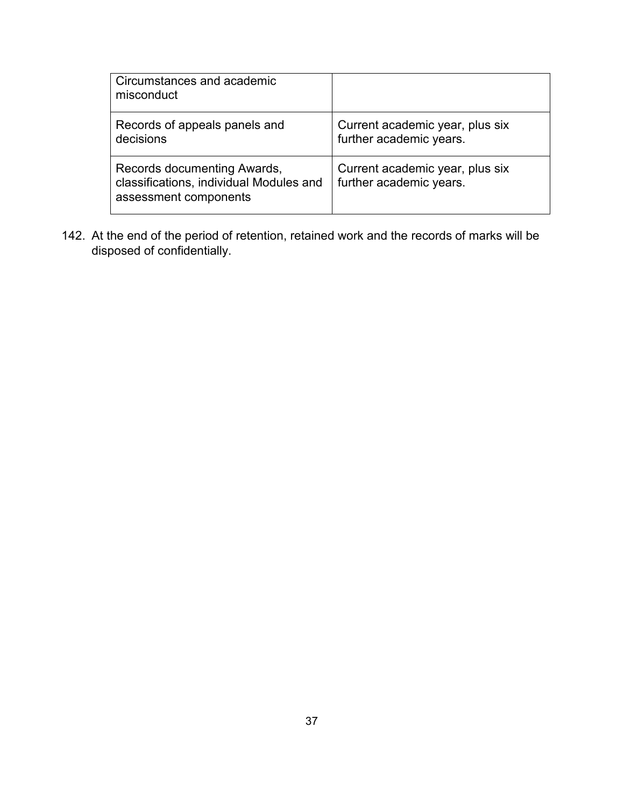| Circumstances and academic<br>misconduct                                                        |                                                            |
|-------------------------------------------------------------------------------------------------|------------------------------------------------------------|
| Records of appeals panels and<br>decisions                                                      | Current academic year, plus six<br>further academic years. |
| Records documenting Awards,<br>classifications, individual Modules and<br>assessment components | Current academic year, plus six<br>further academic years. |

142. At the end of the period of retention, retained work and the records of marks will be disposed of confidentially.